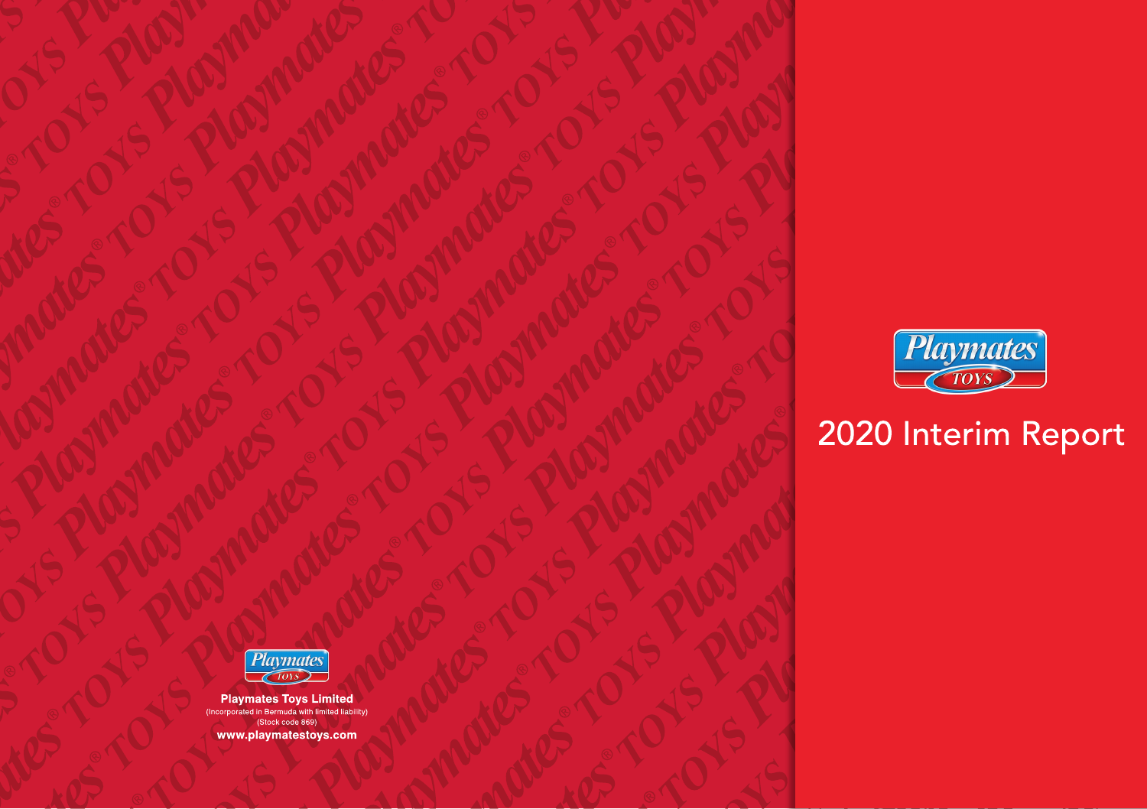

# 2020 Interim Report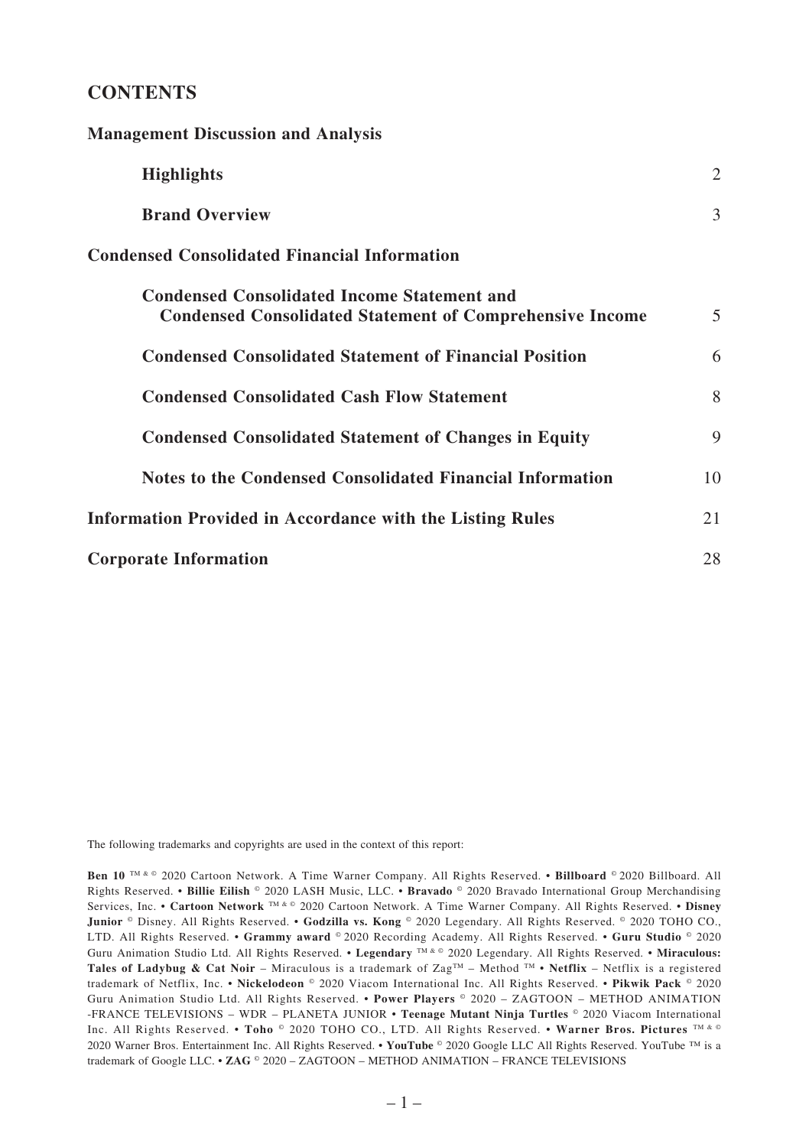# **CONTENTS**

**Management Discussion and Analysis**

| <b>Highlights</b>                                                                                                     | 2  |
|-----------------------------------------------------------------------------------------------------------------------|----|
| <b>Brand Overview</b>                                                                                                 | 3  |
| <b>Condensed Consolidated Financial Information</b>                                                                   |    |
| <b>Condensed Consolidated Income Statement and</b><br><b>Condensed Consolidated Statement of Comprehensive Income</b> | 5  |
| <b>Condensed Consolidated Statement of Financial Position</b>                                                         | 6  |
| <b>Condensed Consolidated Cash Flow Statement</b>                                                                     | 8  |
| <b>Condensed Consolidated Statement of Changes in Equity</b>                                                          | 9  |
| Notes to the Condensed Consolidated Financial Information                                                             | 10 |
| <b>Information Provided in Accordance with the Listing Rules</b>                                                      | 21 |
| <b>Corporate Information</b>                                                                                          | 28 |

The following trademarks and copyrights are used in the context of this report:

**Ben 10** TM & © 2020 Cartoon Network. A Time Warner Company. All Rights Reserved. • **Billboard** © 2020 Billboard. All Rights Reserved. • **Billie Eilish** © 2020 LASH Music, LLC. • **Bravado** © 2020 Bravado International Group Merchandising Services, Inc. • **Cartoon Network** TM & © 2020 Cartoon Network. A Time Warner Company. All Rights Reserved. • **Disney Junior** © Disney. All Rights Reserved. • **Godzilla vs. Kong** © 2020 Legendary. All Rights Reserved. © 2020 TOHO CO., LTD. All Rights Reserved. • **Grammy award** © 2020 Recording Academy. All Rights Reserved. • **Guru Studio** © 2020 Guru Animation Studio Ltd. All Rights Reserved. • **Legendary** TM & © 2020 Legendary. All Rights Reserved. • **Miraculous: Tales of Ladybug & Cat Noir** – Miraculous is a trademark of ZagTM – Method TM • **Netflix** – Netflix is a registered trademark of Netflix, Inc. • **Nickelodeon** © 2020 Viacom International Inc. All Rights Reserved. • **Pikwik Pack** © 2020 Guru Animation Studio Ltd. All Rights Reserved. • **Power Players** © 2020 – ZAGTOON – METHOD ANIMATION -FRANCE TELEVISIONS – WDR – PLANETA JUNIOR • **Teenage Mutant Ninja Turtles** © 2020 Viacom International Inc. All Rights Reserved. • **Toho** © 2020 TOHO CO., LTD. All Rights Reserved. • **Warner Bros. Pictures** TM & © 2020 Warner Bros. Entertainment Inc. All Rights Reserved. • **YouTube** © 2020 Google LLC All Rights Reserved. YouTube ™ is a trademark of Google LLC. • **ZAG** © 2020 – ZAGTOON – METHOD ANIMATION – FRANCE TELEVISIONS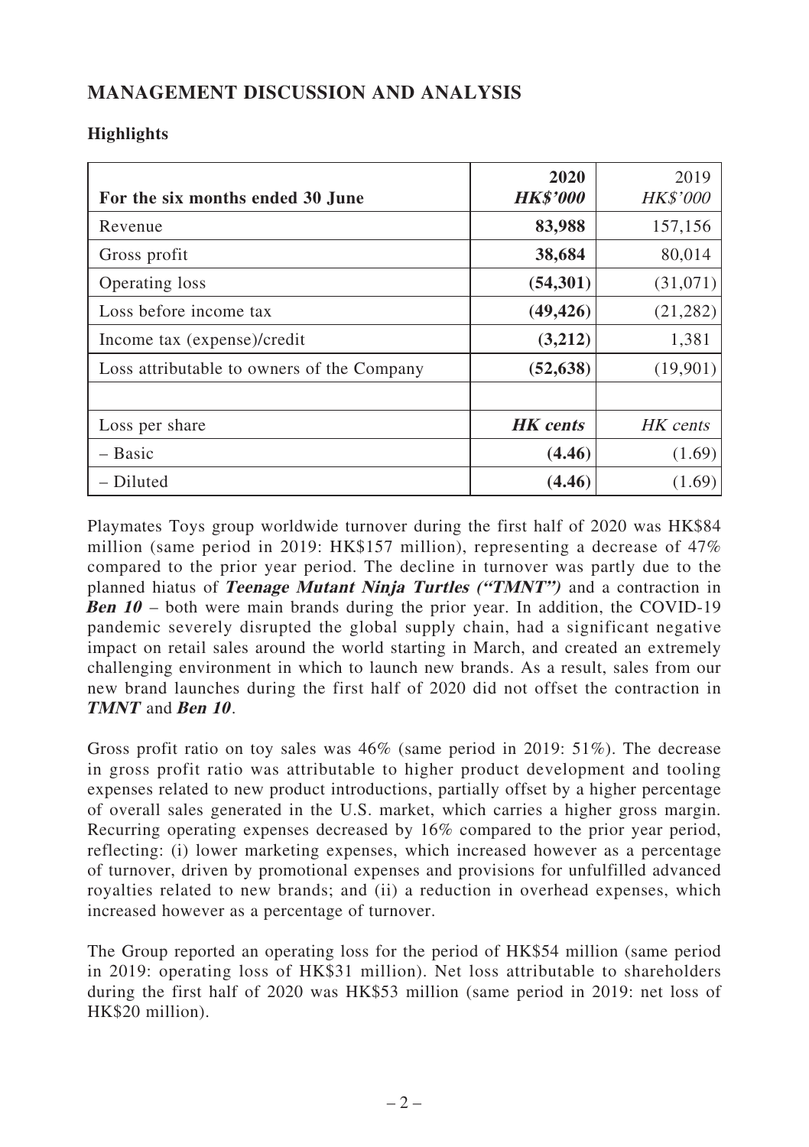# **MANAGEMENT DISCUSSION AND ANALYSIS**

# **Highlights**

| For the six months ended 30 June           | 2020<br><b>HK\$'000</b> | 2019<br><b>HK\$'000</b> |
|--------------------------------------------|-------------------------|-------------------------|
| Revenue                                    | 83,988                  | 157,156                 |
| Gross profit                               | 38,684                  | 80,014                  |
| Operating loss                             | (54,301)                | (31,071)                |
| Loss before income tax                     | (49, 426)               | (21, 282)               |
| Income tax (expense)/credit                | (3,212)                 | 1,381                   |
| Loss attributable to owners of the Company | (52, 638)               | (19,901)                |
|                                            |                         |                         |
| Loss per share                             | <b>HK</b> cents         | HK cents                |
| $-$ Basic                                  | (4.46)                  | (1.69)                  |
| - Diluted                                  | (4.46)                  | (1.69)                  |

Playmates Toys group worldwide turnover during the first half of 2020 was HK\$84 million (same period in 2019: HK\$157 million), representing a decrease of 47% compared to the prior year period. The decline in turnover was partly due to the planned hiatus of **Teenage Mutant Ninja Turtles ("TMNT")** and a contraction in **Ben 10** – both were main brands during the prior year. In addition, the COVID-19 pandemic severely disrupted the global supply chain, had a significant negative impact on retail sales around the world starting in March, and created an extremely challenging environment in which to launch new brands. As a result, sales from our new brand launches during the first half of 2020 did not offset the contraction in **TMNT** and **Ben 10** .

Gross profit ratio on toy sales was 46% (same period in 2019: 51%). The decrease in gross profit ratio was attributable to higher product development and tooling expenses related to new product introductions, partially offset by a higher percentage of overall sales generated in the U.S. market, which carries a higher gross margin. Recurring operating expenses decreased by 16% compared to the prior year period, reflecting: (i) lower marketing expenses, which increased however as a percentage of turnover, driven by promotional expenses and provisions for unfulfilled advanced royalties related to new brands; and (ii) a reduction in overhead expenses, which increased however as a percentage of turnover.

The Group reported an operating loss for the period of HK\$54 million (same period in 2019: operating loss of HK\$31 million). Net loss attributable to shareholders during the first half of 2020 was HK\$53 million (same period in 2019: net loss of HK\$20 million).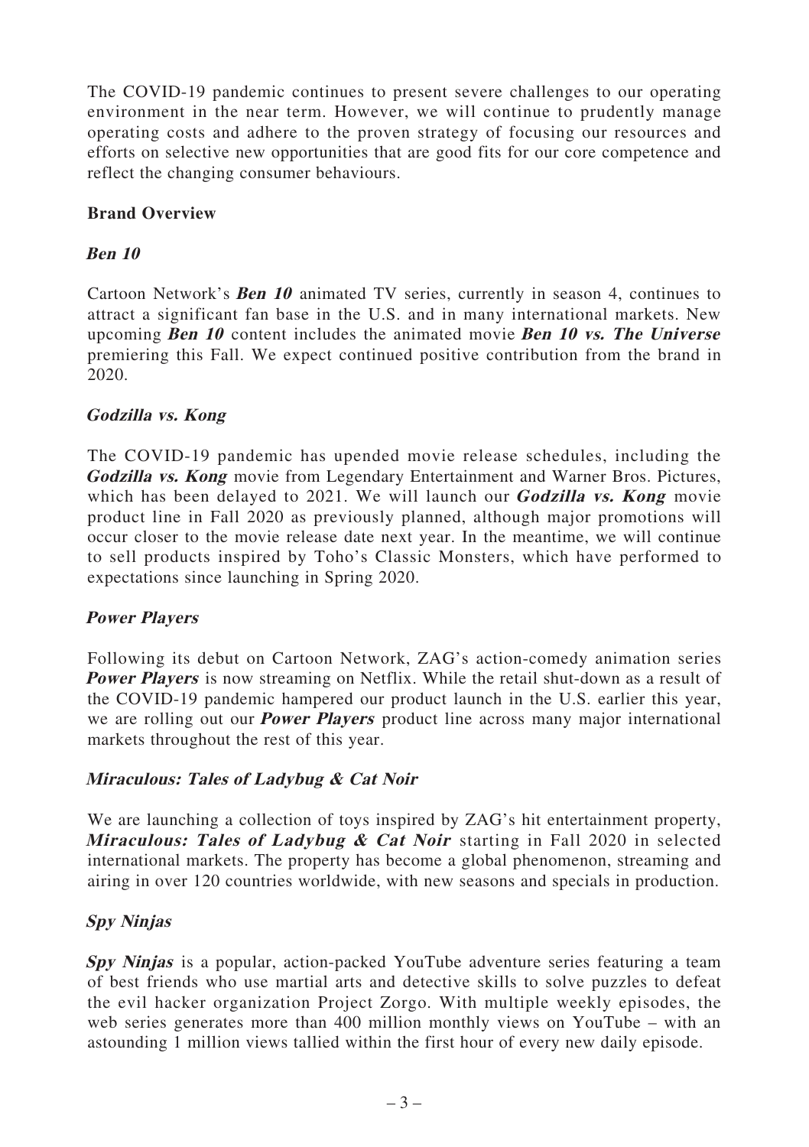The COVID-19 pandemic continues to present severe challenges to our operating environment in the near term. However, we will continue to prudently manage operating costs and adhere to the proven strategy of focusing our resources and efforts on selective new opportunities that are good fits for our core competence and reflect the changing consumer behaviours.

# **Brand Overview**

# **Ben 10**

Cartoon Network's **Ben 10** animated TV series, currently in season 4, continues to attract a significant fan base in the U.S. and in many international markets. New upcoming **Ben 10** content includes the animated movie **Ben 10 vs. The Universe** premiering this Fall. We expect continued positive contribution from the brand in 2020.

# **Godzilla vs. Kong**

The COVID-19 pandemic has upended movie release schedules, including the **Godzilla vs. Kong** movie from Legendary Entertainment and Warner Bros. Pictures, which has been delayed to 2021. We will launch our **Godzilla vs. Kong** movie product line in Fall 2020 as previously planned, although major promotions will occur closer to the movie release date next year. In the meantime, we will continue to sell products inspired by Toho's Classic Monsters, which have performed to expectations since launching in Spring 2020.

# **Power Players**

Following its debut on Cartoon Network, ZAG's action-comedy animation series **Power Players** is now streaming on Netflix. While the retail shut-down as a result of the COVID-19 pandemic hampered our product launch in the U.S. earlier this year, we are rolling out our **Power Players** product line across many major international markets throughout the rest of this year.

# **Miraculous: Tales of Ladybug & Cat Noir**

We are launching a collection of toys inspired by ZAG's hit entertainment property, **Miraculous: Tales of Ladybug & Cat Noir** starting in Fall 2020 in selected international markets. The property has become a global phenomenon, streaming and airing in over 120 countries worldwide, with new seasons and specials in production.

# **Spy Ninjas**

**Spy Ninjas** is a popular, action-packed YouTube adventure series featuring a team of best friends who use martial arts and detective skills to solve puzzles to defeat the evil hacker organization Project Zorgo. With multiple weekly episodes, the web series generates more than 400 million monthly views on YouTube – with an astounding 1 million views tallied within the first hour of every new daily episode.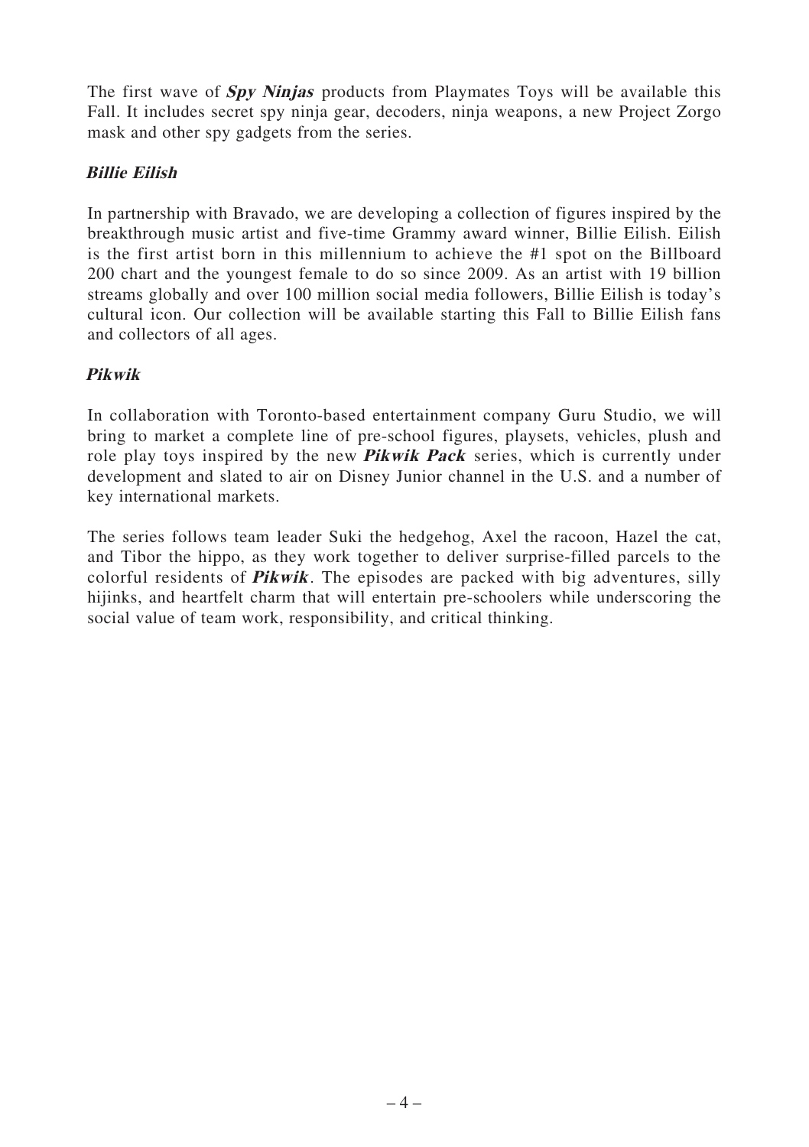The first wave of **Spy Ninjas** products from Playmates Toys will be available this Fall. It includes secret spy ninja gear, decoders, ninja weapons, a new Project Zorgo mask and other spy gadgets from the series.

# **Billie Eilish**

In partnership with Bravado, we are developing a collection of figures inspired by the breakthrough music artist and five-time Grammy award winner, Billie Eilish. Eilish is the first artist born in this millennium to achieve the #1 spot on the Billboard 200 chart and the youngest female to do so since 2009. As an artist with 19 billion streams globally and over 100 million social media followers, Billie Eilish is today's cultural icon. Our collection will be available starting this Fall to Billie Eilish fans and collectors of all ages.

# **Pikwik**

In collaboration with Toronto-based entertainment company Guru Studio, we will bring to market a complete line of pre-school figures, playsets, vehicles, plush and role play toys inspired by the new **Pikwik Pack** series, which is currently under development and slated to air on Disney Junior channel in the U.S. and a number of key international markets.

The series follows team leader Suki the hedgehog, Axel the racoon, Hazel the cat, and Tibor the hippo, as they work together to deliver surprise-filled parcels to the colorful residents of **Pikwik**. The episodes are packed with big adventures, silly hijinks, and heartfelt charm that will entertain pre-schoolers while underscoring the social value of team work, responsibility, and critical thinking.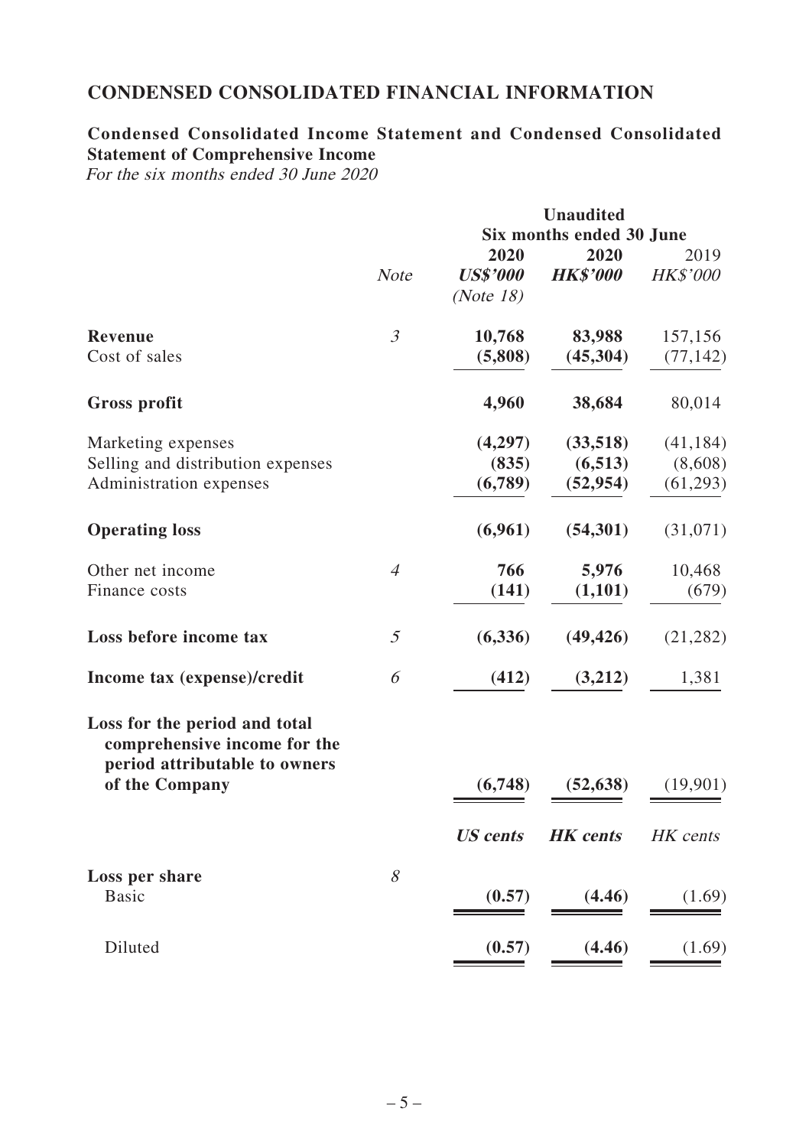# **CONDENSED CONSOLIDATED FINANCIAL INFORMATION**

# **Condensed Consolidated Income Statement and Condensed Consolidated Statement of Comprehensive Income**

For the six months ended 30 June 2020

|                                                                                                |                |                 | <b>Unaudited</b>         |           |
|------------------------------------------------------------------------------------------------|----------------|-----------------|--------------------------|-----------|
|                                                                                                |                |                 | Six months ended 30 June |           |
|                                                                                                |                | 2020            | 2020                     | 2019      |
|                                                                                                | <b>Note</b>    | <b>US\$'000</b> | <b>HK\$'000</b>          | HK\$'000  |
|                                                                                                |                | (Note 18)       |                          |           |
| Revenue                                                                                        | 3              | 10,768          | 83,988                   | 157,156   |
| Cost of sales                                                                                  |                | (5,808)         | (45, 304)                | (77, 142) |
| <b>Gross profit</b>                                                                            |                | 4,960           | 38,684                   | 80,014    |
| Marketing expenses                                                                             |                | (4,297)         | (33,518)                 | (41, 184) |
| Selling and distribution expenses                                                              |                | (835)           | (6,513)                  | (8,608)   |
| Administration expenses                                                                        |                | (6,789)         | (52, 954)                | (61,293)  |
| <b>Operating loss</b>                                                                          |                | (6,961)         | (54,301)                 | (31,071)  |
| Other net income                                                                               | $\overline{4}$ | 766             | 5,976                    | 10,468    |
| Finance costs                                                                                  |                | (141)           | (1,101)                  | (679)     |
| Loss before income tax                                                                         | 5              | (6,336)         | (49, 426)                | (21, 282) |
| Income tax (expense)/credit                                                                    | 6              | (412)           | (3,212)                  | 1,381     |
| Loss for the period and total<br>comprehensive income for the<br>period attributable to owners |                |                 |                          |           |
| of the Company                                                                                 |                | (6,748)         | (52, 638)                | (19,901)  |
|                                                                                                |                | <b>US</b> cents | <b>HK</b> cents          | HK cents  |
| Loss per share                                                                                 | 8              |                 |                          |           |
| Basic                                                                                          |                | (0.57)          | (4.46)                   | (1.69)    |
| Diluted                                                                                        |                | (0.57)          | (4.46)                   | (1.69)    |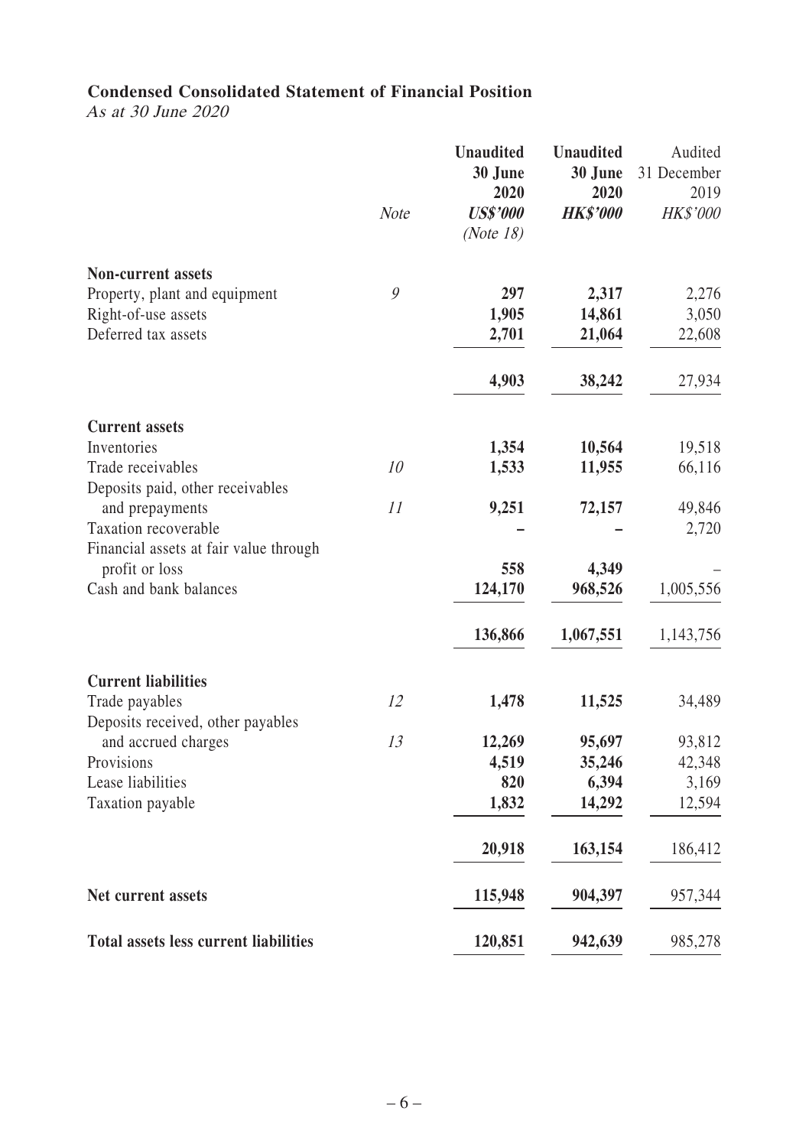# **Condensed Consolidated Statement of Financial Position**

As at 30 June 2020

|                                                     | <b>Note</b> | Unaudited<br>30 June<br>2020<br><b>US\$'000</b><br>(Note $18$ ) | <b>Unaudited</b><br>30 June<br>2020<br><b>HK\$'000</b> | Audited<br>31 December<br>2019<br>HK\$'000 |
|-----------------------------------------------------|-------------|-----------------------------------------------------------------|--------------------------------------------------------|--------------------------------------------|
| <b>Non-current assets</b>                           |             |                                                                 |                                                        |                                            |
| Property, plant and equipment                       | 9           | 297                                                             | 2,317                                                  | 2,276                                      |
| Right-of-use assets                                 |             | 1,905                                                           | 14,861                                                 | 3,050                                      |
| Deferred tax assets                                 |             | 2,701                                                           | 21,064                                                 | 22,608                                     |
|                                                     |             | 4,903                                                           | 38,242                                                 | 27,934                                     |
| <b>Current assets</b>                               |             |                                                                 |                                                        |                                            |
| Inventories                                         |             | 1,354                                                           | 10,564                                                 | 19,518                                     |
| Trade receivables                                   | 10          | 1,533                                                           | 11,955                                                 | 66,116                                     |
| Deposits paid, other receivables                    | 11          |                                                                 |                                                        | 49,846                                     |
| and prepayments<br>Taxation recoverable             |             | 9,251                                                           | 72,157                                                 | 2,720                                      |
| Financial assets at fair value through              |             |                                                                 |                                                        |                                            |
| profit or loss                                      |             | 558                                                             | 4,349                                                  |                                            |
| Cash and bank balances                              |             | 124,170                                                         | 968,526                                                | 1,005,556                                  |
|                                                     |             | 136,866                                                         | 1,067,551                                              | 1,143,756                                  |
| <b>Current liabilities</b>                          |             |                                                                 |                                                        |                                            |
| Trade payables<br>Deposits received, other payables | 12          | 1,478                                                           | 11,525                                                 | 34,489                                     |
| and accrued charges                                 | 13          | 12,269                                                          | 95,697                                                 | 93,812                                     |
| Provisions                                          |             | 4,519                                                           | 35,246                                                 | 42,348                                     |
| Lease liabilities                                   |             | 820                                                             | 6,394                                                  | 3,169                                      |
| Taxation payable                                    |             | 1,832                                                           | 14,292                                                 | 12,594                                     |
|                                                     |             | 20,918                                                          | 163,154                                                | 186,412                                    |
| Net current assets                                  |             | 115,948                                                         | 904,397                                                | 957,344                                    |
| <b>Total assets less current liabilities</b>        |             | 120,851                                                         | 942,639                                                | 985,278                                    |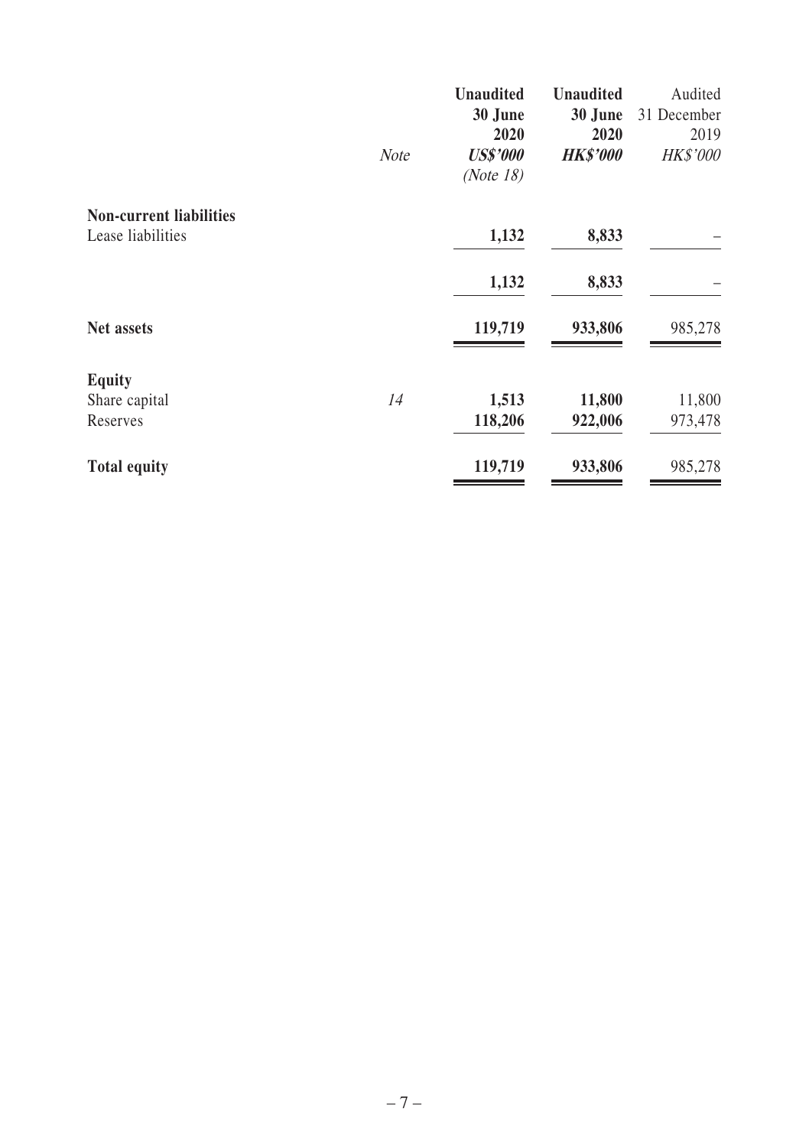|                                | <b>Note</b> | <b>Unaudited</b><br>30 June<br>2020<br><b>US\$'000</b><br>(Note $18$ ) | <b>Unaudited</b><br>30 June<br>2020<br><b>HK\$'000</b> | Audited<br>31 December<br>2019<br><b>HK\$'000</b> |
|--------------------------------|-------------|------------------------------------------------------------------------|--------------------------------------------------------|---------------------------------------------------|
| <b>Non-current liabilities</b> |             |                                                                        |                                                        |                                                   |
| Lease liabilities              |             | 1,132                                                                  | 8,833                                                  |                                                   |
|                                |             | 1,132                                                                  | 8,833                                                  |                                                   |
| Net assets                     |             | 119,719                                                                | 933,806                                                | 985,278                                           |
| <b>Equity</b>                  |             |                                                                        |                                                        |                                                   |
| Share capital                  | 14          | 1,513                                                                  | 11,800                                                 | 11,800                                            |
| Reserves                       |             | 118,206                                                                | 922,006                                                | 973,478                                           |
| <b>Total equity</b>            |             | 119,719                                                                | 933,806                                                | 985,278                                           |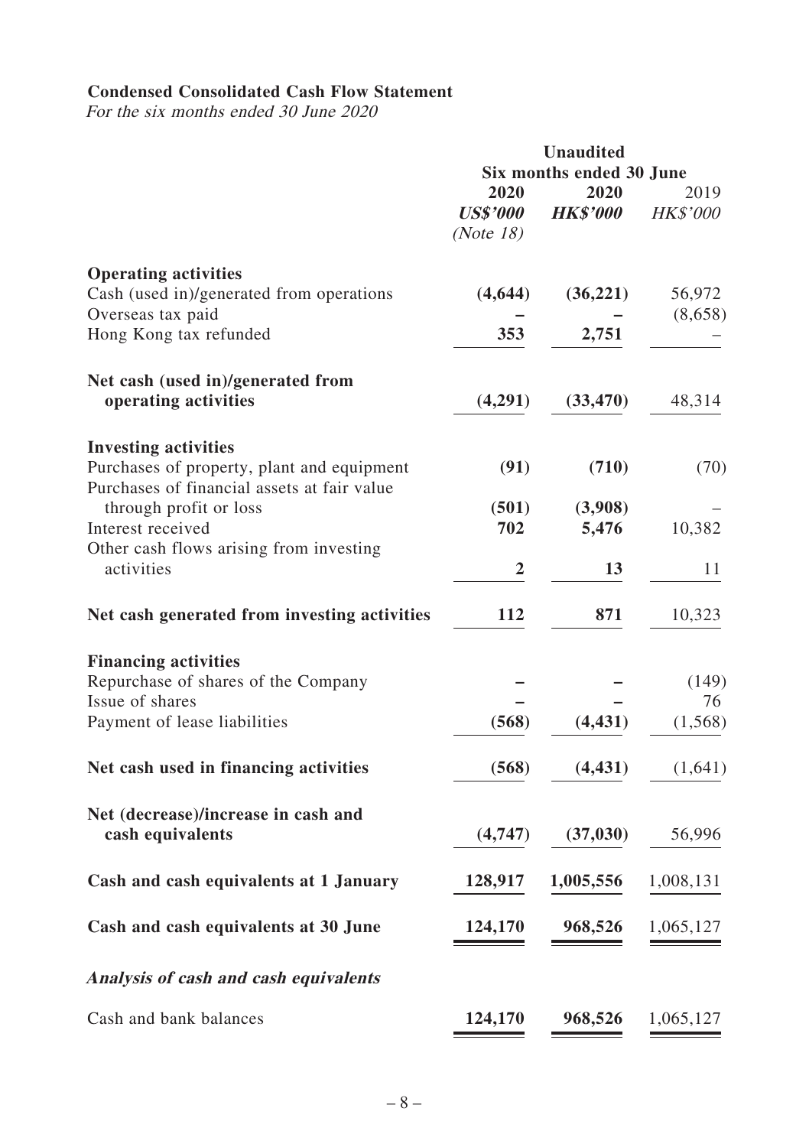# **Condensed Consolidated Cash Flow Statement**

For the six months ended 30 June 2020

|                                                                                                                          | <b>Unaudited</b><br>Six months ended 30 June |                         |                         |
|--------------------------------------------------------------------------------------------------------------------------|----------------------------------------------|-------------------------|-------------------------|
|                                                                                                                          | 2020<br><b>US\$'000</b><br>(Note 18)         | 2020<br><b>HK\$'000</b> | 2019<br><i>HK\$'000</i> |
| <b>Operating activities</b><br>Cash (used in)/generated from operations                                                  | (4, 644)                                     | (36, 221)               | 56,972                  |
| Overseas tax paid<br>Hong Kong tax refunded                                                                              | 353                                          | 2,751                   | (8,658)                 |
| Net cash (used in)/generated from<br>operating activities                                                                | (4,291)                                      | (33, 470)               | 48,314                  |
| <b>Investing activities</b><br>Purchases of property, plant and equipment<br>Purchases of financial assets at fair value | (91)                                         | (710)                   | (70)                    |
| through profit or loss<br>Interest received<br>Other cash flows arising from investing                                   | (501)<br>702                                 | (3,908)<br>5,476        | 10,382                  |
| activities                                                                                                               | 2                                            | 13                      | 11                      |
| Net cash generated from investing activities                                                                             | 112                                          | 871                     | 10,323                  |
| <b>Financing activities</b><br>Repurchase of shares of the Company                                                       |                                              |                         | (149)                   |
| Issue of shares<br>Payment of lease liabilities                                                                          | (568)                                        | (4, 431)                | 76<br>(1, 568)          |
| Net cash used in financing activities                                                                                    | (568)                                        | (4, 431)                | (1,641)                 |
| Net (decrease)/increase in cash and<br>cash equivalents                                                                  | (4,747)                                      | (37, 030)               | 56,996                  |
| Cash and cash equivalents at 1 January                                                                                   | 128,917                                      | 1,005,556               | 1,008,131               |
| Cash and cash equivalents at 30 June                                                                                     | 124,170                                      | 968,526                 | 1,065,127               |
| Analysis of cash and cash equivalents                                                                                    |                                              |                         |                         |
| Cash and bank balances                                                                                                   | 124,170                                      | 968,526                 | 1,065,127               |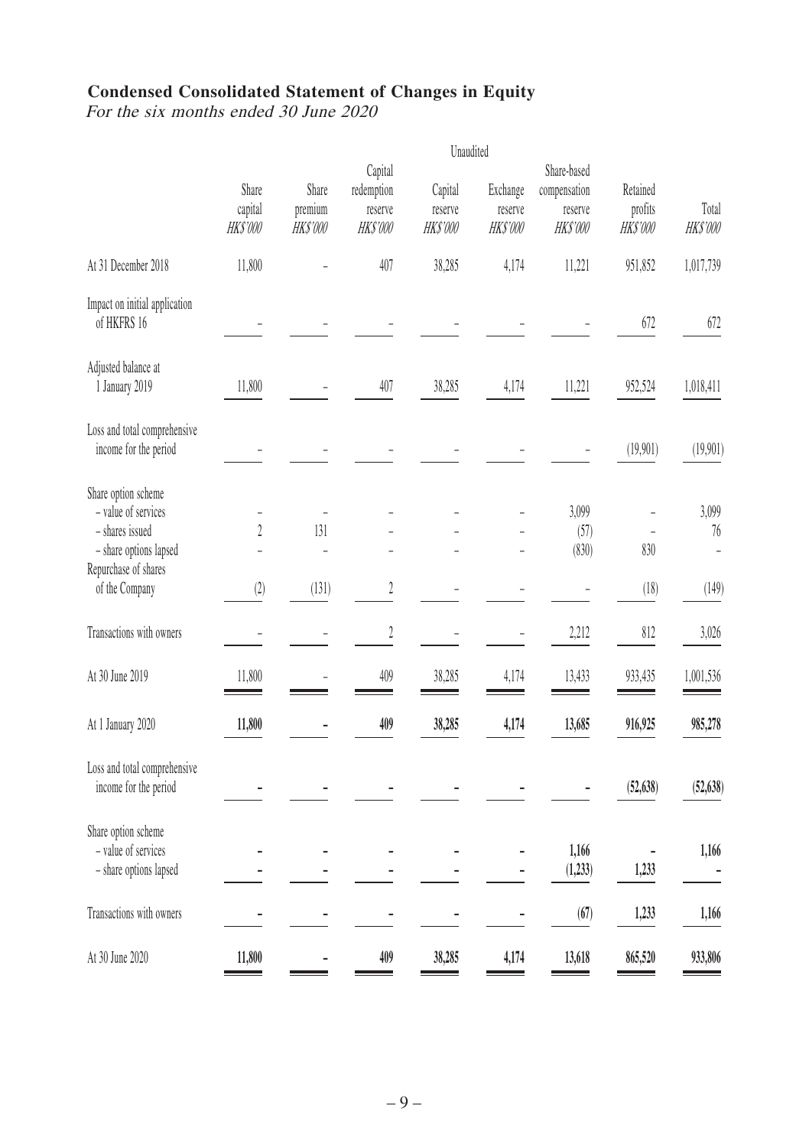# **Condensed Consolidated Statement of Changes in Equity**

For the six months ended 30 June 2020

|                                                                                                                 |                             |                             |                                                     | Unaudited                     |                                       |                                                           |                                |                         |
|-----------------------------------------------------------------------------------------------------------------|-----------------------------|-----------------------------|-----------------------------------------------------|-------------------------------|---------------------------------------|-----------------------------------------------------------|--------------------------------|-------------------------|
|                                                                                                                 | Share<br>capital<br>HKS'000 | Share<br>premium<br>HKS'000 | Capital<br>redemption<br>reserve<br><b>HK\$'000</b> | Capital<br>reserve<br>HKS'000 | Exchange<br>reserve<br><b>HKS'000</b> | Share-based<br>compensation<br>reserve<br><b>HK\$'000</b> | Retained<br>profits<br>HKS'000 | Total<br><b>HKS'000</b> |
| At 31 December 2018                                                                                             | 11,800                      |                             | 407                                                 | 38,285                        | 4,174                                 | 11,221                                                    | 951,852                        | 1,017,739               |
| Impact on initial application<br>of HKFRS 16                                                                    |                             |                             |                                                     |                               |                                       |                                                           | 672                            | 672                     |
| Adjusted balance at<br>1 January 2019                                                                           | 11,800                      |                             | 407                                                 | 38,285                        | 4,174                                 | 11,221                                                    | 952,524                        | 1,018,411               |
| Loss and total comprehensive<br>income for the period                                                           |                             |                             |                                                     |                               |                                       |                                                           | (19,901)                       | (19,901)                |
| Share option scheme<br>- value of services<br>- shares issued<br>- share options lapsed<br>Repurchase of shares | $\overline{2}$              | 131<br>L.                   |                                                     |                               |                                       | 3,099<br>(57)<br>(830)                                    | 830                            | 3,099<br>76<br>Ē,       |
| of the Company                                                                                                  | (2)                         | (131)                       | 2                                                   |                               |                                       |                                                           | (18)                           | (149)                   |
| Transactions with owners                                                                                        |                             |                             | $\sqrt{2}$                                          |                               |                                       | 2,212                                                     | 812                            | 3,026                   |
| At 30 June 2019                                                                                                 | 11,800                      |                             | 409                                                 | 38,285                        | 4,174                                 | 13,433                                                    | 933,435                        | 1,001,536               |
| At 1 January 2020                                                                                               | 11,800                      |                             | 409                                                 | 38,285                        | 4,174                                 | 13,685                                                    | 916,925                        | 985,278                 |
| Loss and total comprehensive<br>income for the period                                                           |                             |                             |                                                     |                               |                                       |                                                           | (52, 638)                      | (52, 638)               |
| Share option scheme<br>- value of services<br>- share options lapsed                                            |                             |                             |                                                     |                               |                                       | 1,166<br>(1, 233)                                         | 1,233                          | 1,166                   |
| Transactions with owners                                                                                        |                             |                             |                                                     |                               |                                       | (67)                                                      | 1,233                          | 1,166                   |
| At 30 June 2020                                                                                                 | 11,800                      |                             | 409                                                 | 38,285                        | 4,174                                 | 13,618                                                    | 865,520                        | 933,806                 |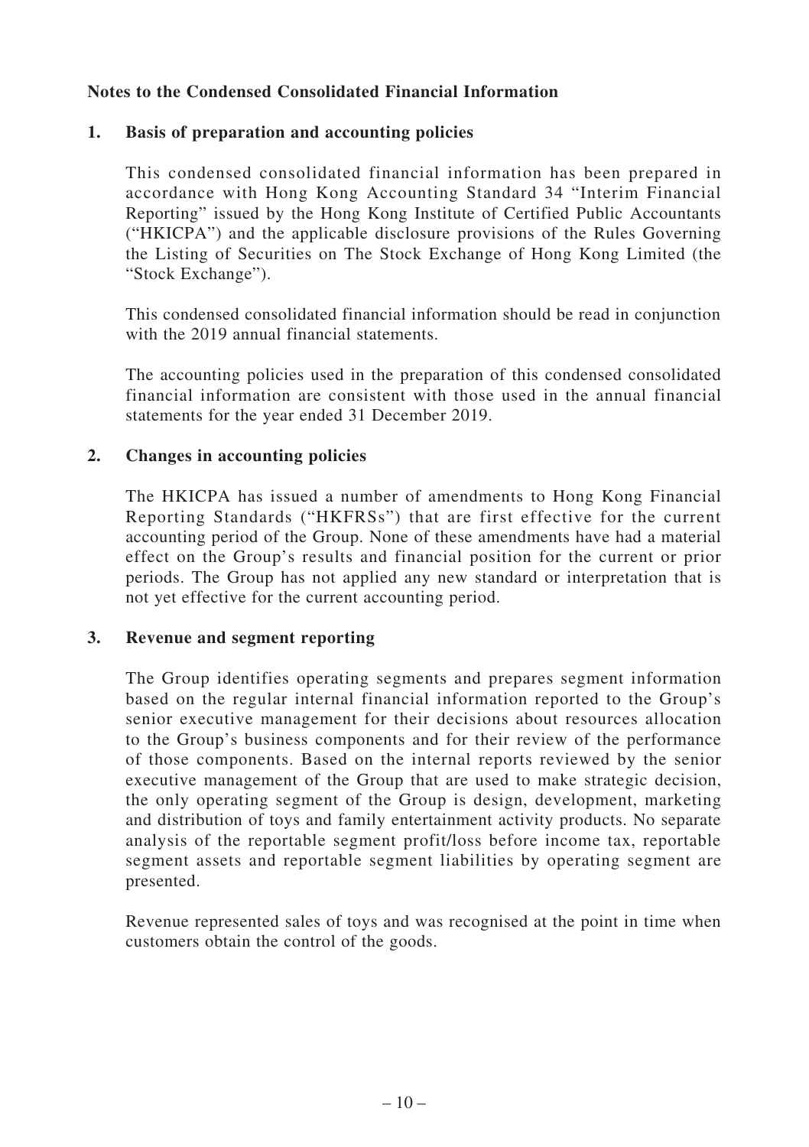# **Notes to the Condensed Consolidated Financial Information**

# **1. Basis of preparation and accounting policies**

This condensed consolidated financial information has been prepared in accordance with Hong Kong Accounting Standard 34 "Interim Financial Reporting" issued by the Hong Kong Institute of Certified Public Accountants ("HKICPA") and the applicable disclosure provisions of the Rules Governing the Listing of Securities on The Stock Exchange of Hong Kong Limited (the "Stock Exchange").

This condensed consolidated financial information should be read in conjunction with the 2019 annual financial statements.

The accounting policies used in the preparation of this condensed consolidated financial information are consistent with those used in the annual financial statements for the year ended 31 December 2019.

#### **2. Changes in accounting policies**

The HKICPA has issued a number of amendments to Hong Kong Financial Reporting Standards ("HKFRSs") that are first effective for the current accounting period of the Group. None of these amendments have had a material effect on the Group's results and financial position for the current or prior periods. The Group has not applied any new standard or interpretation that is not yet effective for the current accounting period.

#### **3. Revenue and segment reporting**

The Group identifies operating segments and prepares segment information based on the regular internal financial information reported to the Group's senior executive management for their decisions about resources allocation to the Group's business components and for their review of the performance of those components. Based on the internal reports reviewed by the senior executive management of the Group that are used to make strategic decision, the only operating segment of the Group is design, development, marketing and distribution of toys and family entertainment activity products. No separate analysis of the reportable segment profit/loss before income tax, reportable segment assets and reportable segment liabilities by operating segment are presented.

Revenue represented sales of toys and was recognised at the point in time when customers obtain the control of the goods.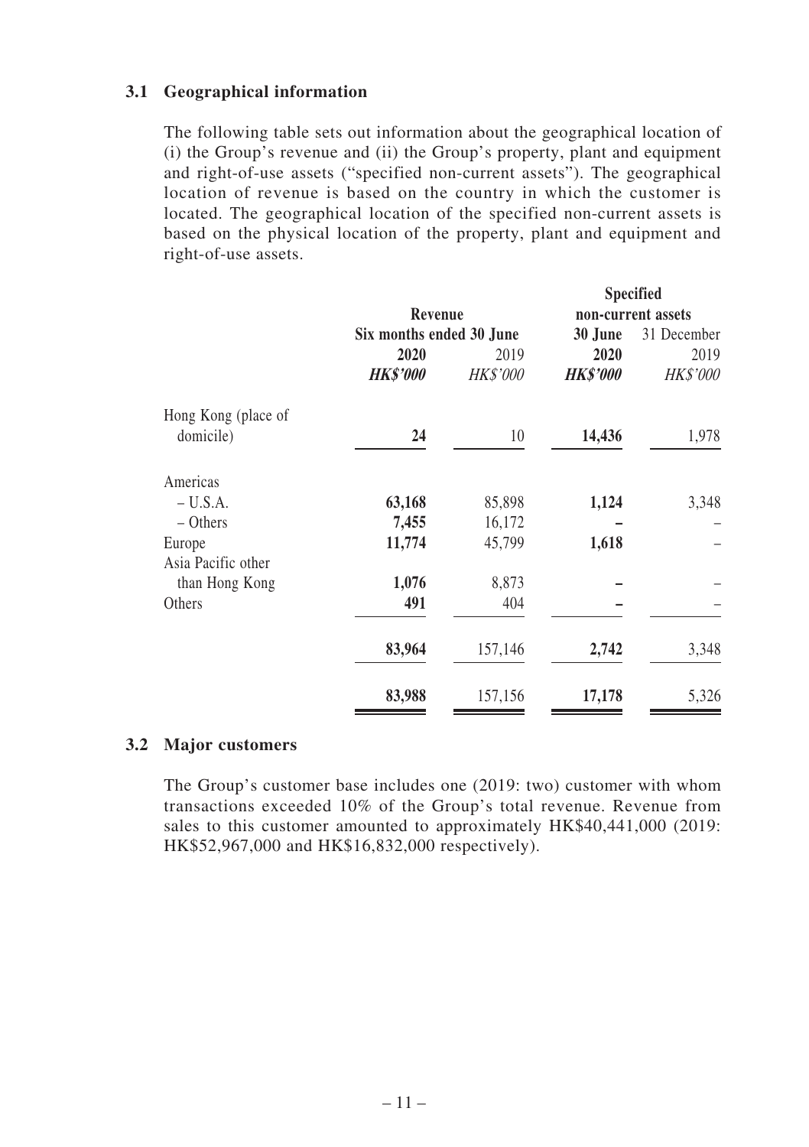# **3.1 Geographical information**

The following table sets out information about the geographical location of (i) the Group's revenue and (ii) the Group's property, plant and equipment and right-of-use assets ("specified non-current assets"). The geographical location of revenue is based on the country in which the customer is located. The geographical location of the specified non-current assets is based on the physical location of the property, plant and equipment and right-of-use assets.

|                     |                          |                 |                 | <b>Specified</b>   |
|---------------------|--------------------------|-----------------|-----------------|--------------------|
|                     | Revenue                  |                 |                 | non-current assets |
|                     | Six months ended 30 June |                 | 30 June         | 31 December        |
|                     | 2020                     | 2019            | 2020            | 2019               |
|                     | <b>HK\$'000</b>          | <b>HK\$'000</b> | <b>HK\$'000</b> | <b>HK\$'000</b>    |
| Hong Kong (place of |                          |                 |                 |                    |
| domicile)           | 24                       | 10              | 14,436          | 1,978              |
| Americas            |                          |                 |                 |                    |
| $- U.S.A.$          | 63,168                   | 85,898          | 1,124           | 3,348              |
| $-$ Others          | 7,455                    | 16,172          |                 |                    |
| Europe              | 11,774                   | 45,799          | 1,618           |                    |
| Asia Pacific other  |                          |                 |                 |                    |
| than Hong Kong      | 1,076                    | 8,873           |                 |                    |
| Others              | 491                      | 404             |                 |                    |
|                     | 83,964                   | 157,146         | 2,742           | 3,348              |
|                     | 83,988                   | 157,156         | 17,178          | 5,326              |

#### **3.2 Major customers**

The Group's customer base includes one (2019: two) customer with whom transactions exceeded 10% of the Group's total revenue. Revenue from sales to this customer amounted to approximately HK\$40,441,000 (2019: HK\$52,967,000 and HK\$16,832,000 respectively).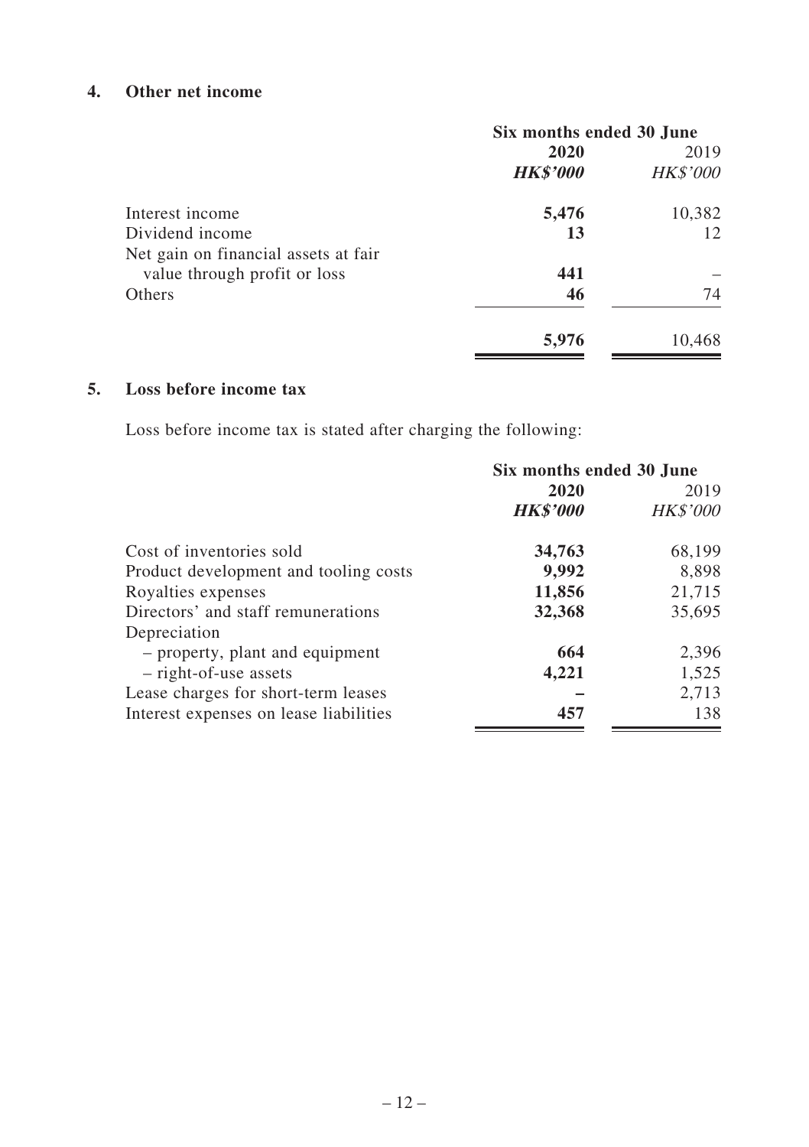# **4. Other net income**

|                                      |                 | Six months ended 30 June |  |  |
|--------------------------------------|-----------------|--------------------------|--|--|
|                                      | 2020            | 2019                     |  |  |
|                                      | <b>HK\$'000</b> | <b>HK\$'000</b>          |  |  |
| Interest income                      | 5,476           | 10,382                   |  |  |
| Dividend income                      | 13              | 12                       |  |  |
| Net gain on financial assets at fair |                 |                          |  |  |
| value through profit or loss         | 441             |                          |  |  |
| Others                               | 46              | 74                       |  |  |
|                                      | 5,976           | 10,468                   |  |  |

# **5. Loss before income tax**

Loss before income tax is stated after charging the following:

|                                        | Six months ended 30 June |                 |  |
|----------------------------------------|--------------------------|-----------------|--|
|                                        | 2020                     |                 |  |
|                                        | <b>HK\$'000</b>          | <b>HK\$'000</b> |  |
| Cost of inventories sold               | 34,763                   | 68,199          |  |
| Product development and tooling costs  | 9,992                    | 8.898           |  |
| Royalties expenses                     | 11,856                   | 21,715          |  |
| Directors' and staff remunerations     | 32,368                   | 35,695          |  |
| Depreciation                           |                          |                 |  |
| - property, plant and equipment        | 664                      | 2,396           |  |
| - right-of-use assets                  | 4,221                    | 1,525           |  |
| Lease charges for short-term leases    |                          | 2,713           |  |
| Interest expenses on lease liabilities | 457                      | 138             |  |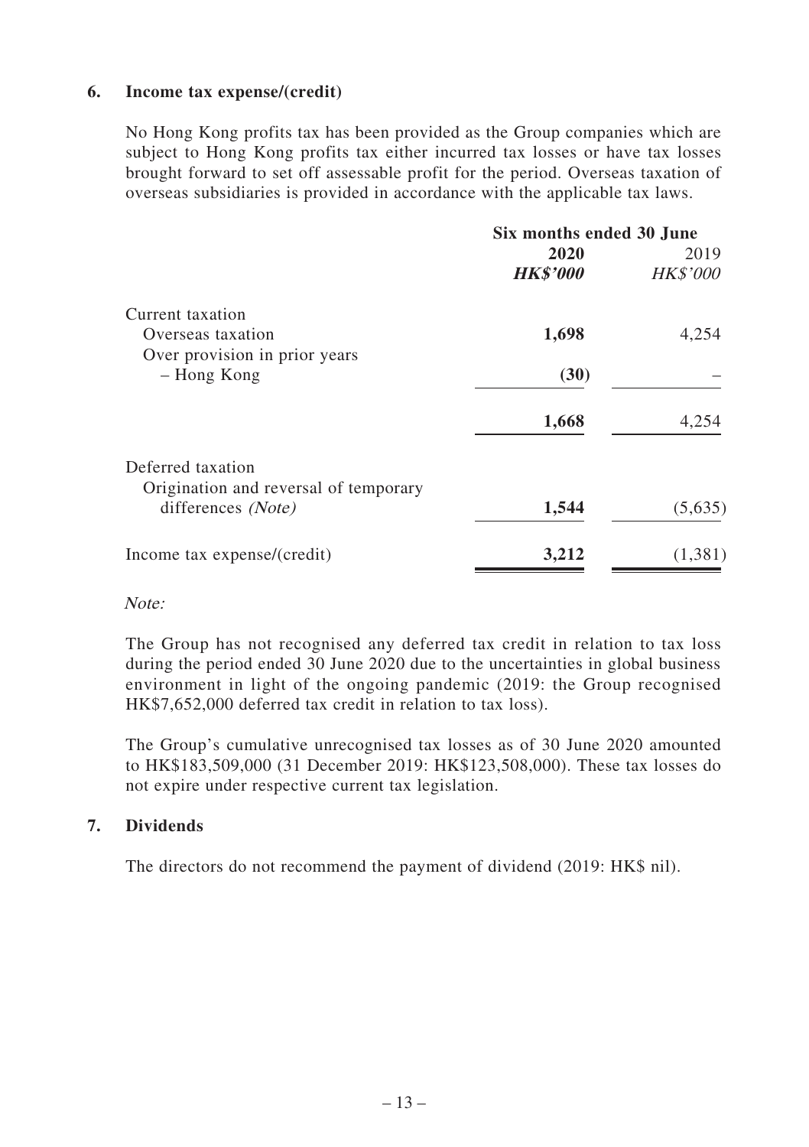#### **6. Income tax expense/(credit)**

No Hong Kong profits tax has been provided as the Group companies which are subject to Hong Kong profits tax either incurred tax losses or have tax losses brought forward to set off assessable profit for the period. Overseas taxation of overseas subsidiaries is provided in accordance with the applicable tax laws.

| 2020<br><b>HK\$'000</b><br>1,698 | 2019<br><b>HK\$'000</b><br>4,254 |
|----------------------------------|----------------------------------|
|                                  |                                  |
|                                  |                                  |
|                                  |                                  |
|                                  |                                  |
|                                  |                                  |
| (30)                             |                                  |
| 1,668                            | 4,254                            |
|                                  |                                  |
|                                  |                                  |
| 1,544                            | (5,635)                          |
| 3,212                            | (1,381)                          |
|                                  |                                  |

#### Note:

The Group has not recognised any deferred tax credit in relation to tax loss during the period ended 30 June 2020 due to the uncertainties in global business environment in light of the ongoing pandemic (2019: the Group recognised HK\$7,652,000 deferred tax credit in relation to tax loss).

The Group's cumulative unrecognised tax losses as of 30 June 2020 amounted to HK\$183,509,000 (31 December 2019: HK\$123,508,000). These tax losses do not expire under respective current tax legislation.

# **7. Dividends**

The directors do not recommend the payment of dividend (2019: HK\$ nil).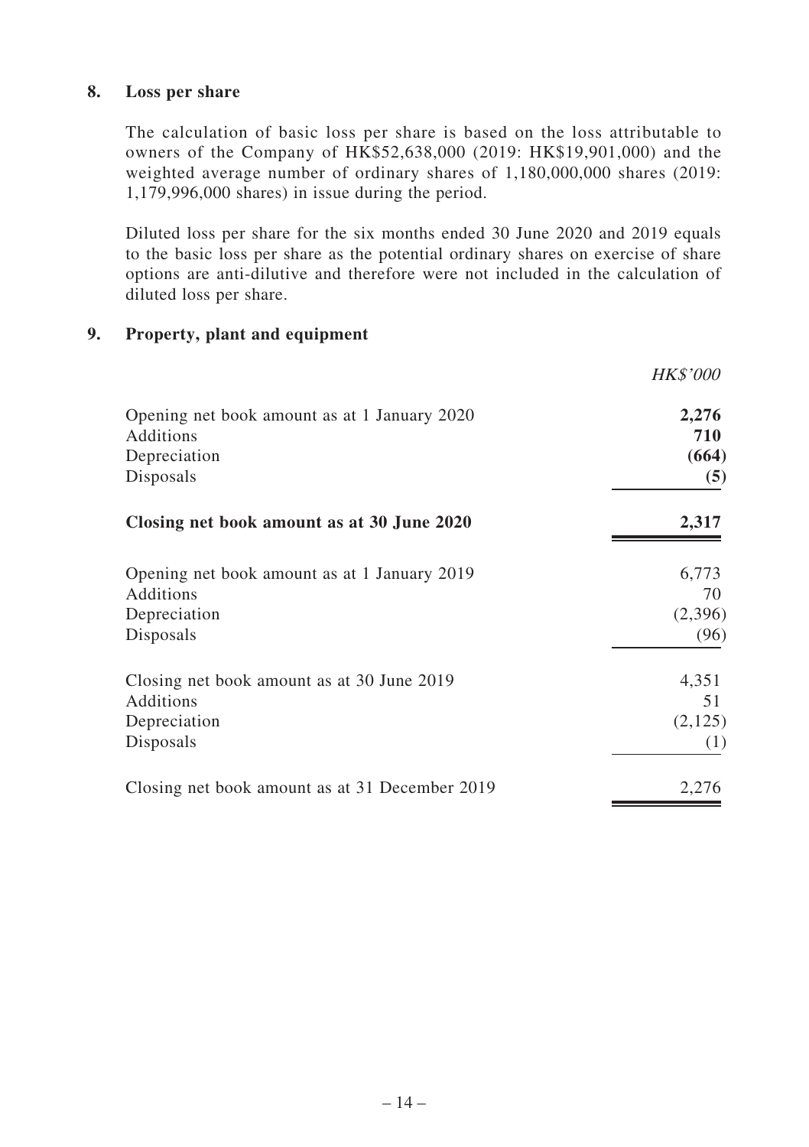## **8. Loss per share**

The calculation of basic loss per share is based on the loss attributable to owners of the Company of HK\$52,638,000 (2019: HK\$19,901,000) and the weighted average number of ordinary shares of 1,180,000,000 shares (2019: 1,179,996,000 shares) in issue during the period.

Diluted loss per share for the six months ended 30 June 2020 and 2019 equals to the basic loss per share as the potential ordinary shares on exercise of share options are anti-dilutive and therefore were not included in the calculation of diluted loss per share.

## **9. Property, plant and equipment**

|                                                | <i>HK\$'000</i> |
|------------------------------------------------|-----------------|
| Opening net book amount as at 1 January 2020   | 2,276           |
| Additions                                      | 710             |
| Depreciation                                   | (664)           |
| Disposals                                      | (5)             |
| Closing net book amount as at 30 June 2020     | 2,317           |
| Opening net book amount as at 1 January 2019   | 6,773           |
| Additions                                      | 70              |
| Depreciation                                   | (2,396)         |
| Disposals                                      | (96)            |
| Closing net book amount as at 30 June 2019     | 4,351           |
| Additions                                      | 51              |
| Depreciation                                   | (2,125)         |
| Disposals                                      | (1)             |
| Closing net book amount as at 31 December 2019 | 2,276           |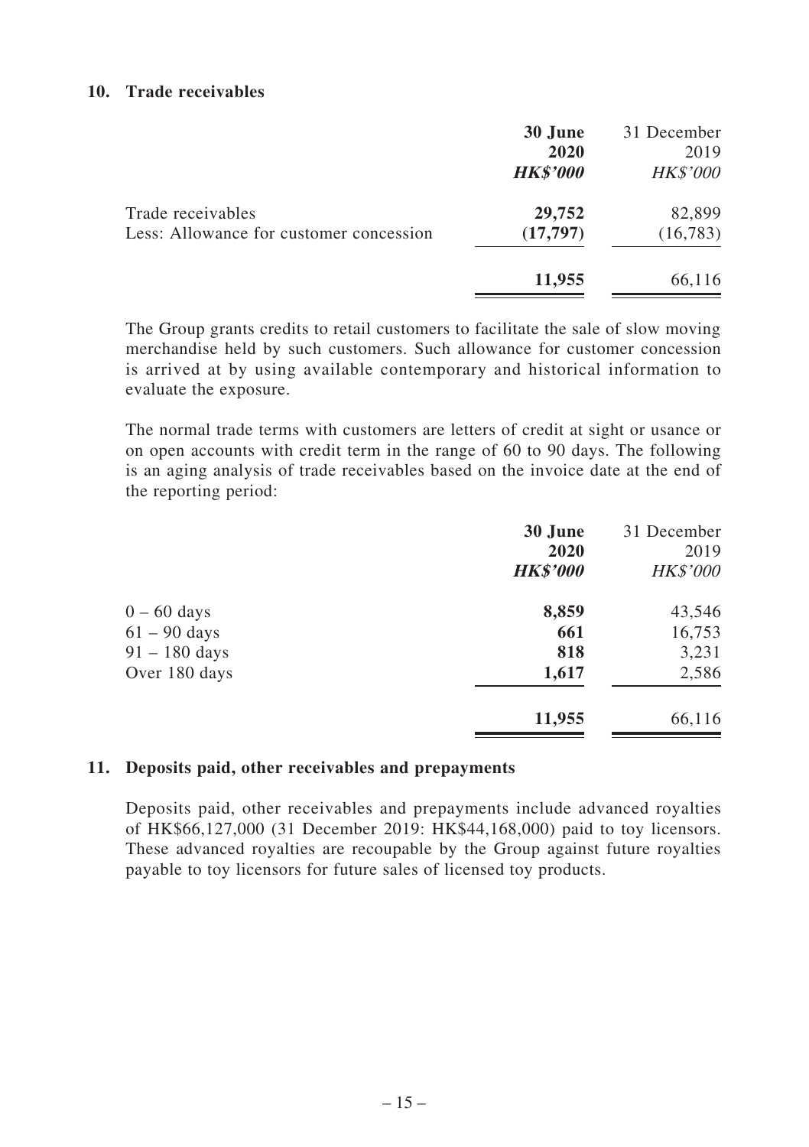#### **10. Trade receivables**

|                                                              | 30 June<br>2020<br><b>HK\$'000</b> | 31 December<br>2019<br><i>HK\$'000</i> |
|--------------------------------------------------------------|------------------------------------|----------------------------------------|
| Trade receivables<br>Less: Allowance for customer concession | 29,752<br>(17,797)                 | 82,899<br>(16,783)                     |
|                                                              | 11,955                             | 66,116                                 |

The Group grants credits to retail customers to facilitate the sale of slow moving merchandise held by such customers. Such allowance for customer concession is arrived at by using available contemporary and historical information to evaluate the exposure.

The normal trade terms with customers are letters of credit at sight or usance or on open accounts with credit term in the range of 60 to 90 days. The following is an aging analysis of trade receivables based on the invoice date at the end of the reporting period:

|                 | 30 June         | 31 December     |
|-----------------|-----------------|-----------------|
|                 | 2020            | 2019            |
|                 | <b>HK\$'000</b> | <b>HK\$'000</b> |
| $0 - 60$ days   | 8,859           | 43,546          |
| $61 - 90$ days  | 661             | 16,753          |
| $91 - 180$ days | 818             | 3,231           |
| Over 180 days   | 1,617           | 2,586           |
|                 | 11,955          | 66,116          |
|                 |                 |                 |

#### **11. Deposits paid, other receivables and prepayments**

Deposits paid, other receivables and prepayments include advanced royalties of HK\$66,127,000 (31 December 2019: HK\$44,168,000) paid to toy licensors. These advanced royalties are recoupable by the Group against future royalties payable to toy licensors for future sales of licensed toy products.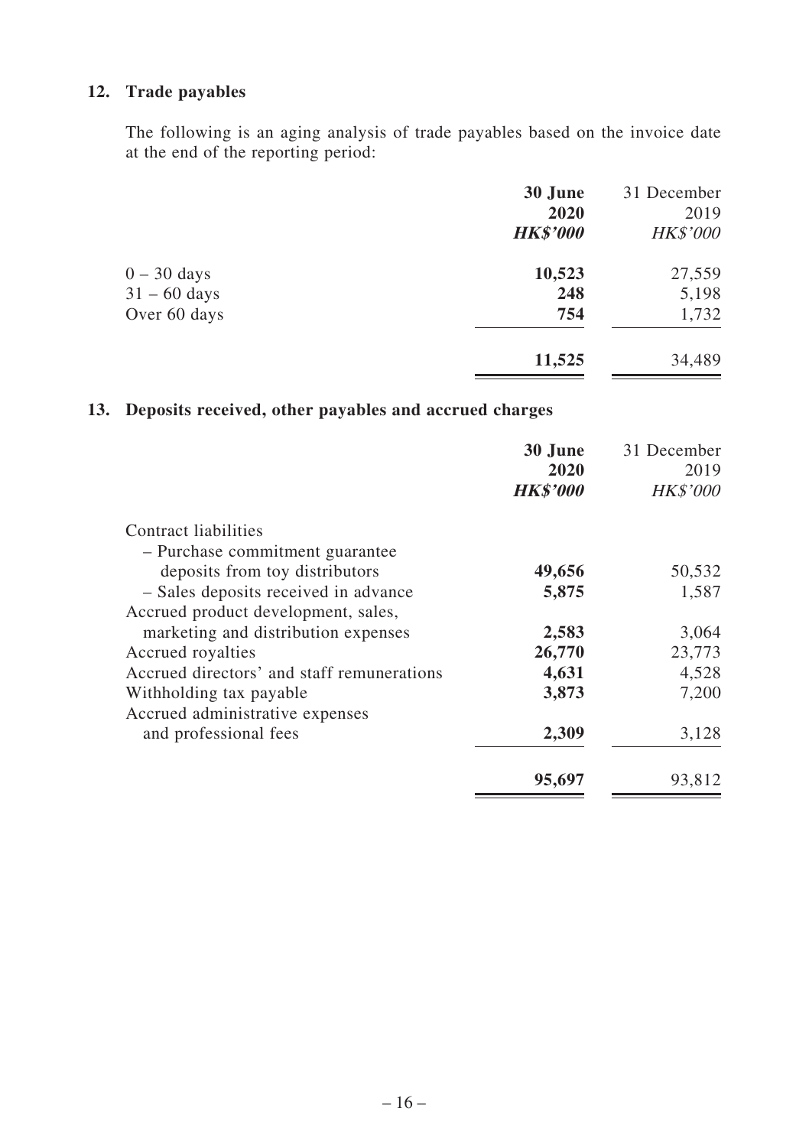# **12. Trade payables**

The following is an aging analysis of trade payables based on the invoice date at the end of the reporting period:

|                | 30 June         | 31 December     |
|----------------|-----------------|-----------------|
|                | 2020            | 2019            |
|                | <b>HK\$'000</b> | <b>HK\$'000</b> |
| $0 - 30$ days  | 10,523          | 27,559          |
| $31 - 60$ days | 248             | 5,198           |
| Over 60 days   | 754             | 1,732           |
|                | 11,525          | 34,489          |

# **13. Deposits received, other payables and accrued charges**

|                                                                   | 30 June<br>2020<br><b>HK\$'000</b> | 31 December<br>2019<br><b>HK\$'000</b> |
|-------------------------------------------------------------------|------------------------------------|----------------------------------------|
| Contract liabilities                                              |                                    |                                        |
|                                                                   |                                    |                                        |
| - Purchase commitment guarantee<br>deposits from toy distributors | 49,656                             | 50,532                                 |
|                                                                   |                                    |                                        |
| - Sales deposits received in advance                              | 5,875                              | 1,587                                  |
| Accrued product development, sales,                               |                                    |                                        |
| marketing and distribution expenses                               | 2,583                              | 3,064                                  |
| Accrued royalties                                                 | 26,770                             | 23,773                                 |
| Accrued directors' and staff remunerations                        | 4,631                              | 4,528                                  |
| Withholding tax payable                                           | 3,873                              | 7,200                                  |
| Accrued administrative expenses                                   |                                    |                                        |
| and professional fees                                             | 2,309                              | 3,128                                  |
|                                                                   |                                    |                                        |
|                                                                   | 95,697                             | 93,812                                 |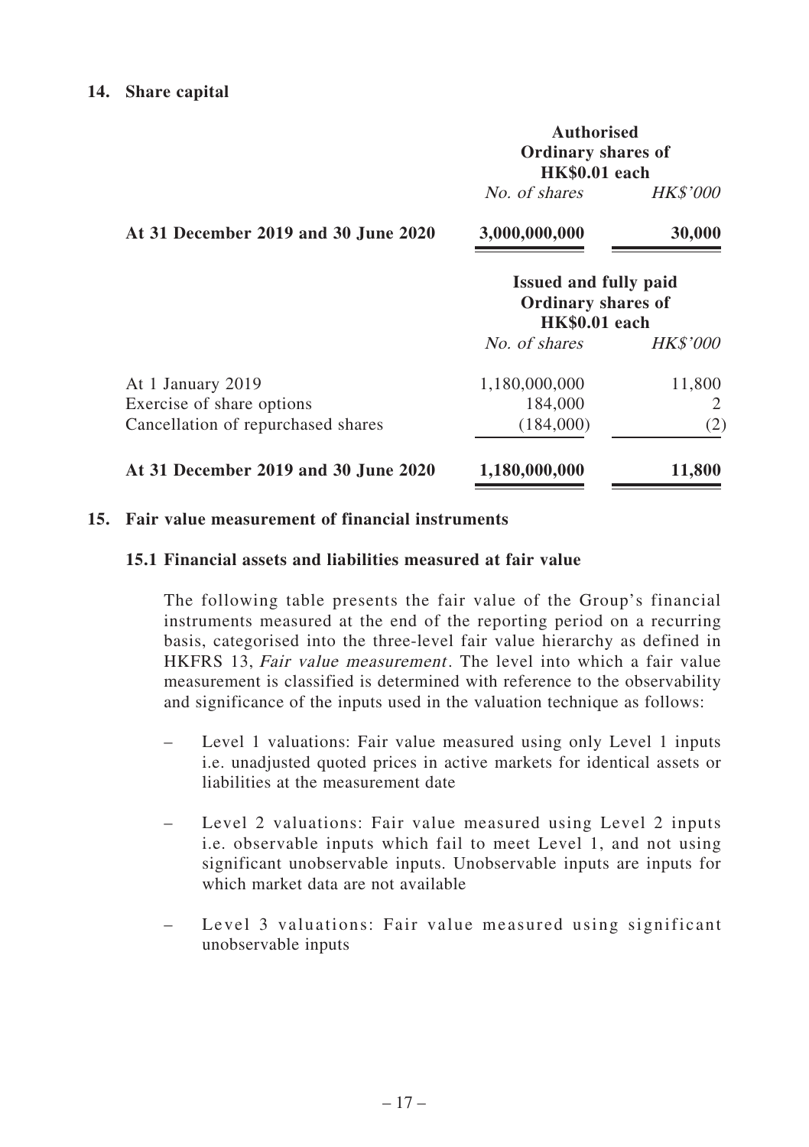#### **14. Share capital**

|                                      | <b>Authorised</b><br><b>Ordinary shares of</b><br><b>HK\$0.01</b> each |                 |  |
|--------------------------------------|------------------------------------------------------------------------|-----------------|--|
|                                      | No. of shares                                                          | <i>HK\$'000</i> |  |
| At 31 December 2019 and 30 June 2020 | 3,000,000,000                                                          | 30,000          |  |

|                                      | Issued and fully paid<br>Ordinary shares of<br><b>HK\$0.01</b> each |                 |  |
|--------------------------------------|---------------------------------------------------------------------|-----------------|--|
|                                      | No. of shares                                                       | <i>HK\$'000</i> |  |
| At 1 January 2019                    | 1,180,000,000                                                       | 11,800          |  |
| Exercise of share options            | 184,000                                                             | 2               |  |
| Cancellation of repurchased shares   | (184,000)                                                           | (2)             |  |
| At 31 December 2019 and 30 June 2020 | 1,180,000,000                                                       | 11,800          |  |

# **15. Fair value measurement of financial instruments**

#### **15.1 Financial assets and liabilities measured at fair value**

The following table presents the fair value of the Group's financial instruments measured at the end of the reporting period on a recurring basis, categorised into the three-level fair value hierarchy as defined in HKFRS 13, Fair value measurement. The level into which a fair value measurement is classified is determined with reference to the observability and significance of the inputs used in the valuation technique as follows:

- Level 1 valuations: Fair value measured using only Level 1 inputs i.e. unadjusted quoted prices in active markets for identical assets or liabilities at the measurement date
- Level 2 valuations: Fair value measured using Level 2 inputs i.e. observable inputs which fail to meet Level 1, and not using significant unobservable inputs. Unobservable inputs are inputs for which market data are not available
- Level 3 valuations: Fair value measured using significant unobservable inputs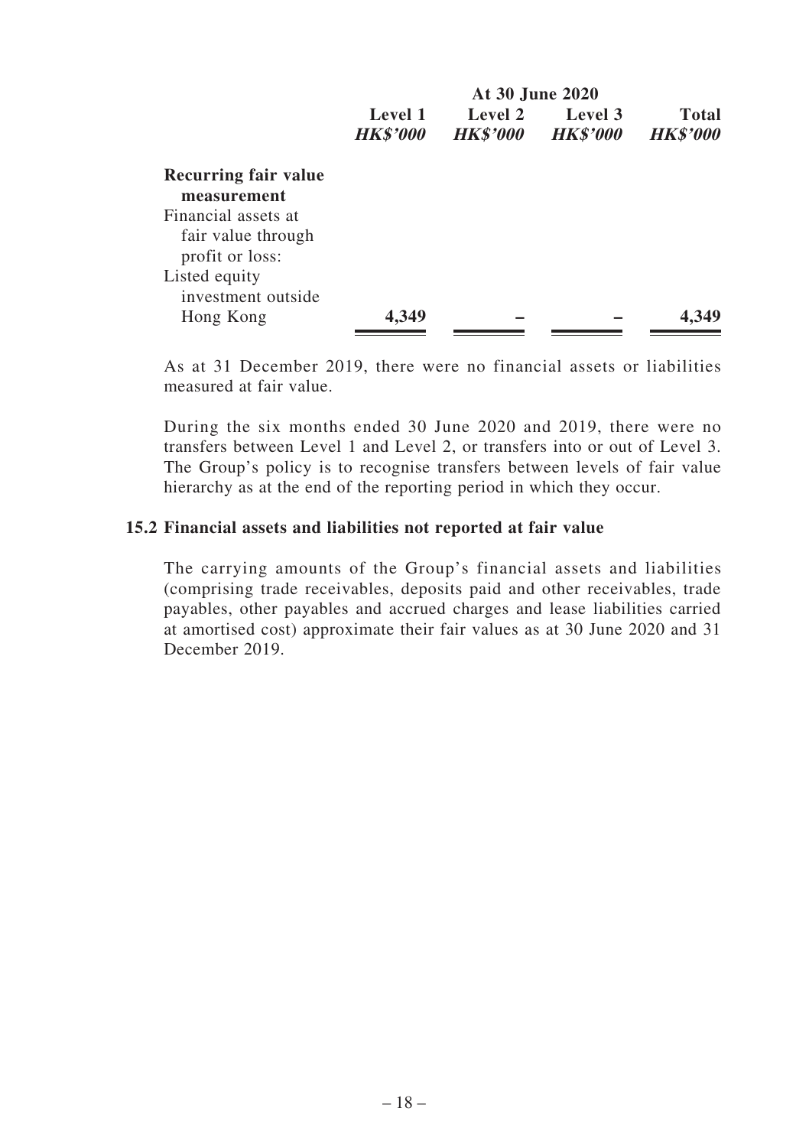|                                                              |                            | At 30 June 2020            |                            |                          |  |  |
|--------------------------------------------------------------|----------------------------|----------------------------|----------------------------|--------------------------|--|--|
|                                                              | Level 1<br><b>HK\$'000</b> | Level 2<br><b>HK\$'000</b> | Level 3<br><b>HK\$'000</b> | Total<br><b>HK\$'000</b> |  |  |
| Recurring fair value<br>measurement                          |                            |                            |                            |                          |  |  |
| Financial assets at<br>fair value through<br>profit or loss: |                            |                            |                            |                          |  |  |
| Listed equity<br>investment outside                          |                            |                            |                            |                          |  |  |
| Hong Kong                                                    | 4,349                      |                            |                            | 4.349                    |  |  |

As at 31 December 2019, there were no financial assets or liabilities measured at fair value.

During the six months ended 30 June 2020 and 2019, there were no transfers between Level 1 and Level 2, or transfers into or out of Level 3. The Group's policy is to recognise transfers between levels of fair value hierarchy as at the end of the reporting period in which they occur.

#### **15.2 Financial assets and liabilities not reported at fair value**

The carrying amounts of the Group's financial assets and liabilities (comprising trade receivables, deposits paid and other receivables, trade payables, other payables and accrued charges and lease liabilities carried at amortised cost) approximate their fair values as at 30 June 2020 and 31 December 2019.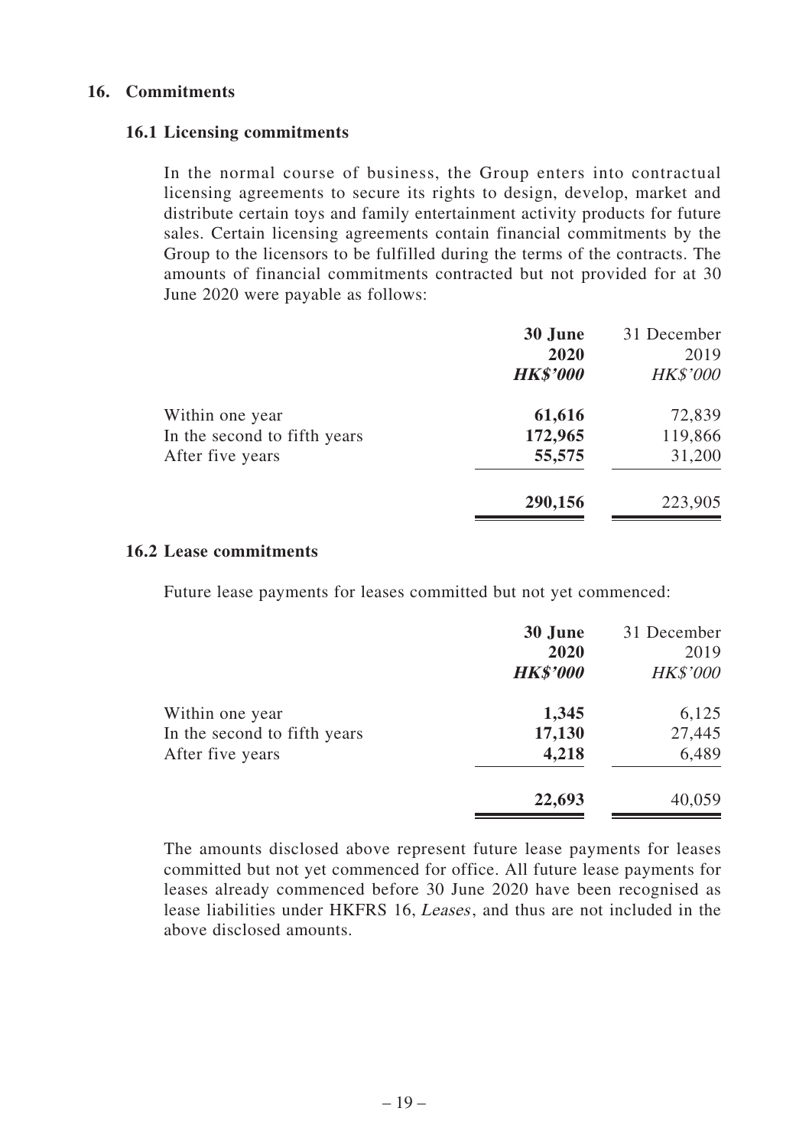#### **16. Commitments**

#### **16.1 Licensing commitments**

In the normal course of business, the Group enters into contractual licensing agreements to secure its rights to design, develop, market and distribute certain toys and family entertainment activity products for future sales. Certain licensing agreements contain financial commitments by the Group to the licensors to be fulfilled during the terms of the contracts. The amounts of financial commitments contracted but not provided for at 30 June 2020 were payable as follows:

|                              | 30 June         | 31 December     |
|------------------------------|-----------------|-----------------|
|                              | 2020            | 2019            |
|                              | <b>HK\$'000</b> | <b>HK\$'000</b> |
| Within one year              | 61,616          | 72,839          |
| In the second to fifth years | 172,965         | 119,866         |
| After five years             | 55,575          | 31,200          |
|                              | 290,156         | 223,905         |
|                              |                 |                 |

#### **16.2 Lease commitments**

Future lease payments for leases committed but not yet commenced:

|                                                 | 30 June<br>2020<br><b>HK\$'000</b> | 31 December<br>2019<br><b>HK\$'000</b> |
|-------------------------------------------------|------------------------------------|----------------------------------------|
|                                                 | 1,345                              | 6,125                                  |
| Within one year<br>In the second to fifth years | 17,130                             | 27,445                                 |
| After five years                                | 4,218                              | 6,489                                  |
|                                                 | 22,693                             | 40,059                                 |

The amounts disclosed above represent future lease payments for leases committed but not yet commenced for office. All future lease payments for leases already commenced before 30 June 2020 have been recognised as lease liabilities under HKFRS 16, Leases, and thus are not included in the above disclosed amounts.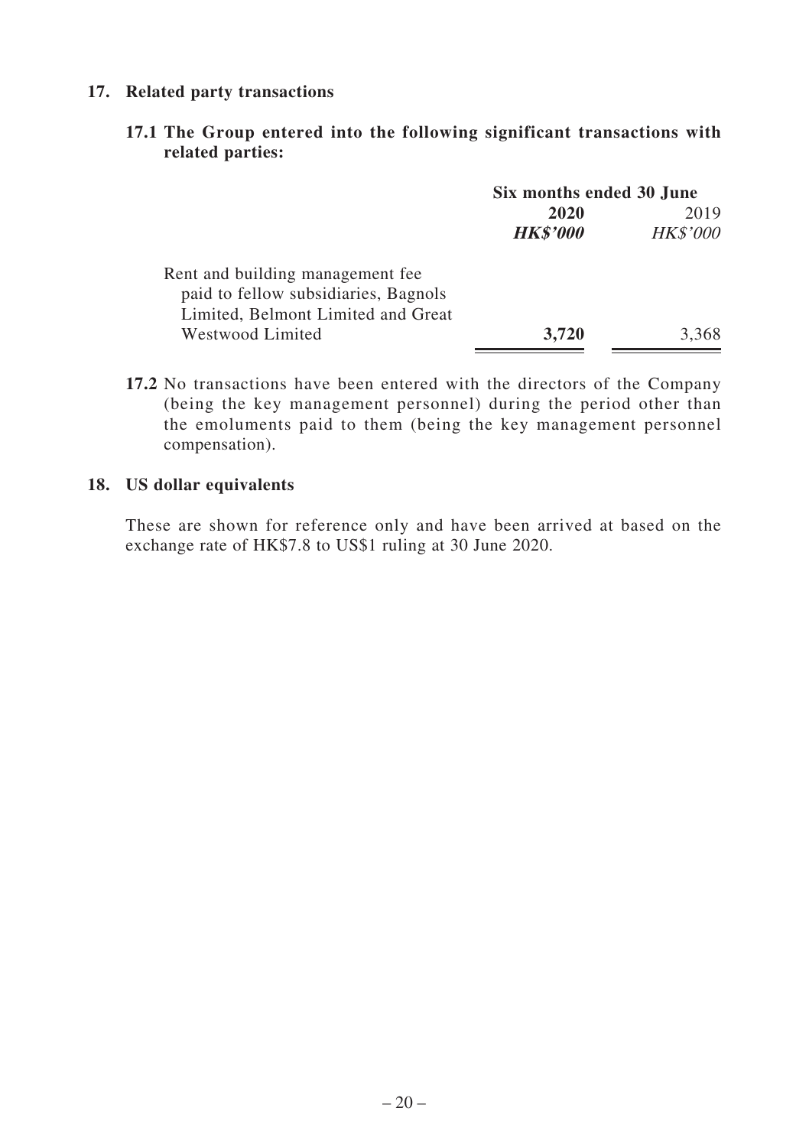# **17. Related party transactions**

# **17.1 The Group entered into the following significant transactions with related parties:**

|                                      | Six months ended 30 June |                 |  |
|--------------------------------------|--------------------------|-----------------|--|
|                                      | 2020                     | 2019            |  |
|                                      | <b>HK\$'000</b>          | <b>HK\$'000</b> |  |
| Rent and building management fee.    |                          |                 |  |
| paid to fellow subsidiaries, Bagnols |                          |                 |  |
| Limited, Belmont Limited and Great   |                          |                 |  |
| Westwood Limited                     | 3,720                    | 3.368           |  |

**17.2** No transactions have been entered with the directors of the Company (being the key management personnel) during the period other than the emoluments paid to them (being the key management personnel compensation).

# **18. US dollar equivalents**

These are shown for reference only and have been arrived at based on the exchange rate of HK\$7.8 to US\$1 ruling at 30 June 2020.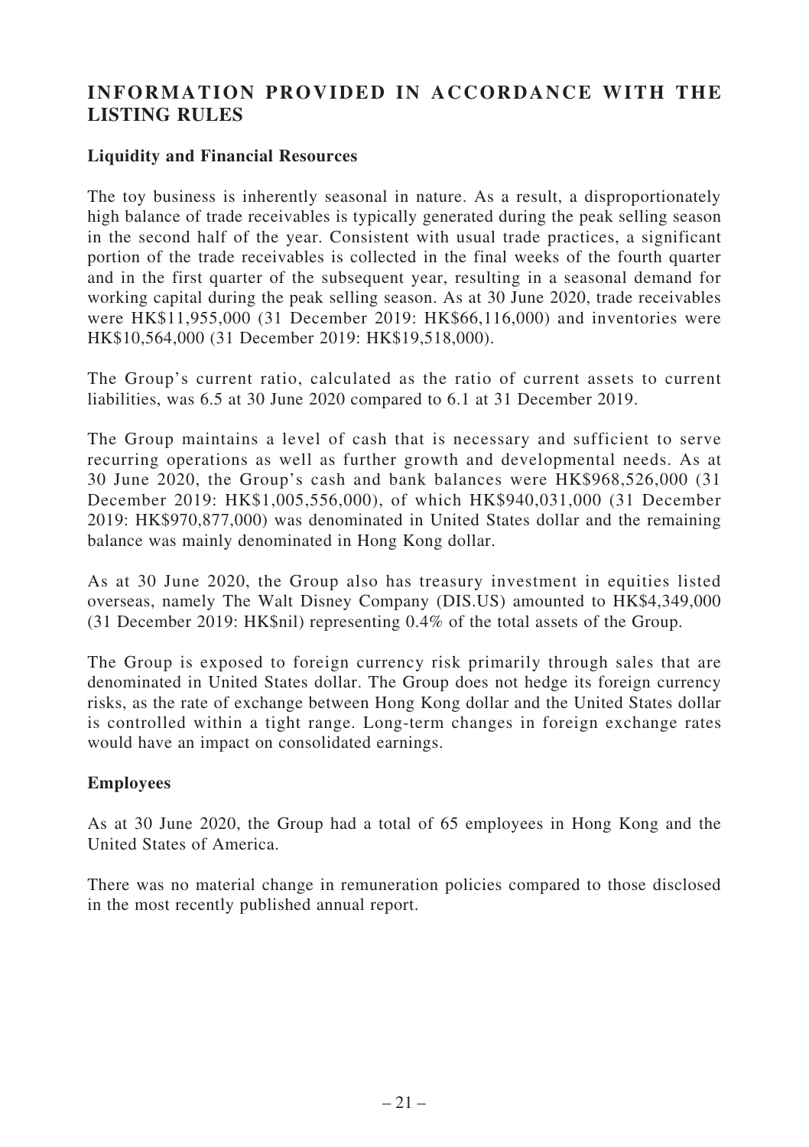# **INFORMATION PROVIDED IN ACCORDANCE WITH THE LISTING RULES**

# **Liquidity and Financial Resources**

The toy business is inherently seasonal in nature. As a result, a disproportionately high balance of trade receivables is typically generated during the peak selling season in the second half of the year. Consistent with usual trade practices, a significant portion of the trade receivables is collected in the final weeks of the fourth quarter and in the first quarter of the subsequent year, resulting in a seasonal demand for working capital during the peak selling season. As at 30 June 2020, trade receivables were HK\$11,955,000 (31 December 2019: HK\$66,116,000) and inventories were HK\$10,564,000 (31 December 2019: HK\$19,518,000).

The Group's current ratio, calculated as the ratio of current assets to current liabilities, was 6.5 at 30 June 2020 compared to 6.1 at 31 December 2019.

The Group maintains a level of cash that is necessary and sufficient to serve recurring operations as well as further growth and developmental needs. As at 30 June 2020, the Group's cash and bank balances were HK\$968,526,000 (31 December 2019: HK\$1,005,556,000), of which HK\$940,031,000 (31 December 2019: HK\$970,877,000) was denominated in United States dollar and the remaining balance was mainly denominated in Hong Kong dollar.

As at 30 June 2020, the Group also has treasury investment in equities listed overseas, namely The Walt Disney Company (DIS.US) amounted to HK\$4,349,000 (31 December 2019: HK\$nil) representing 0.4% of the total assets of the Group.

The Group is exposed to foreign currency risk primarily through sales that are denominated in United States dollar. The Group does not hedge its foreign currency risks, as the rate of exchange between Hong Kong dollar and the United States dollar is controlled within a tight range. Long-term changes in foreign exchange rates would have an impact on consolidated earnings.

# **Employees**

As at 30 June 2020, the Group had a total of 65 employees in Hong Kong and the United States of America.

There was no material change in remuneration policies compared to those disclosed in the most recently published annual report.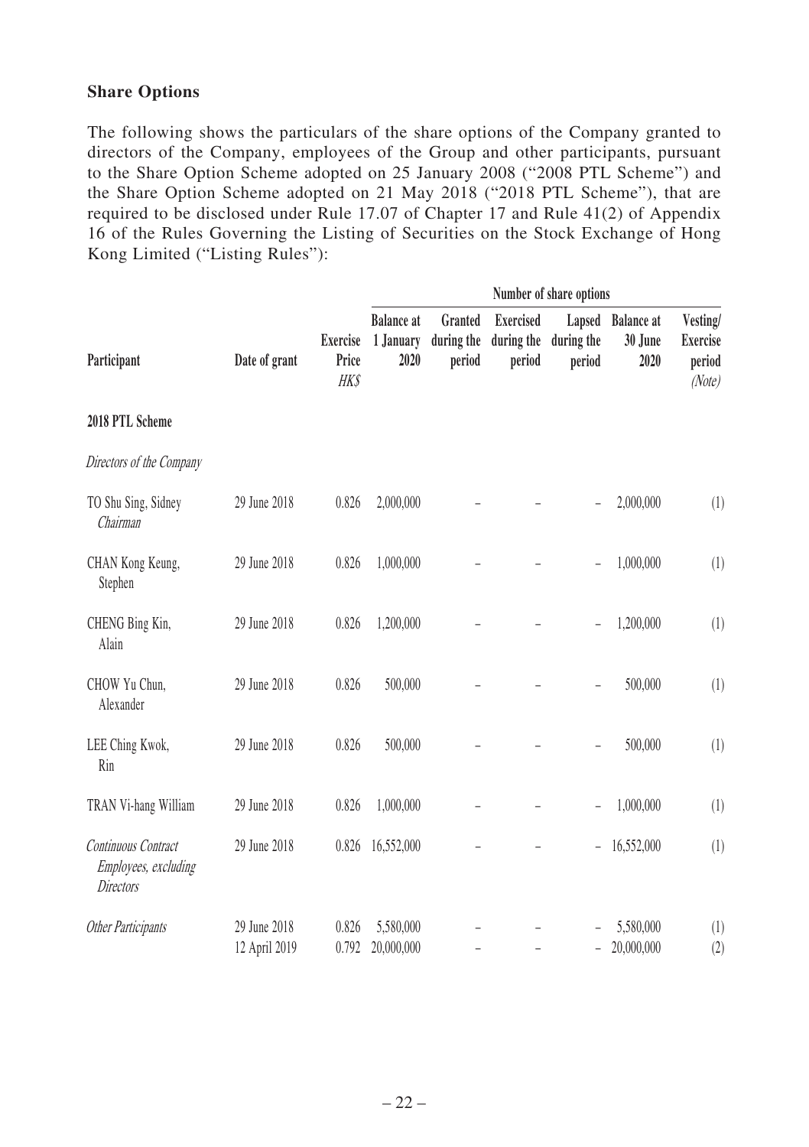#### **Share Options**

The following shows the particulars of the share options of the Company granted to directors of the Company, employees of the Group and other participants, pursuant to the Share Option Scheme adopted on 25 January 2008 ("2008 PTL Scheme") and the Share Option Scheme adopted on 21 May 2018 ("2018 PTL Scheme"), that are required to be disclosed under Rule 17.07 of Chapter 17 and Rule 41(2) of Appendix 16 of the Rules Governing the Listing of Securities on the Stock Exchange of Hong Kong Limited ("Listing Rules"):

|                                                                 |                               |                                        | Number of share options                |                                 |                                          |                          |                                      |                                                 |  |  |
|-----------------------------------------------------------------|-------------------------------|----------------------------------------|----------------------------------------|---------------------------------|------------------------------------------|--------------------------|--------------------------------------|-------------------------------------------------|--|--|
| Participant                                                     | Date of grant                 | <b>Exercise</b><br>Price<br><b>HKS</b> | <b>Balance</b> at<br>1 January<br>2020 | Granted<br>during the<br>period | <b>Exercised</b><br>during the<br>period | during the<br>period     | Lapsed Balance at<br>30 June<br>2020 | Vesting/<br><b>Exercise</b><br>period<br>(Note) |  |  |
| 2018 PTL Scheme                                                 |                               |                                        |                                        |                                 |                                          |                          |                                      |                                                 |  |  |
| Directors of the Company                                        |                               |                                        |                                        |                                 |                                          |                          |                                      |                                                 |  |  |
| TO Shu Sing, Sidney<br>Chairman                                 | 29 June 2018                  | 0.826                                  | 2,000,000                              |                                 |                                          |                          | 2,000,000                            | (1)                                             |  |  |
| CHAN Kong Keung,<br>Stephen                                     | 29 June 2018                  | 0.826                                  | 1,000,000                              |                                 |                                          |                          | 1,000,000                            | (1)                                             |  |  |
| CHENG Bing Kin,<br>Alain                                        | 29 June 2018                  | 0.826                                  | 1,200,000                              |                                 |                                          |                          | 1,200,000                            | (1)                                             |  |  |
| CHOW Yu Chun,<br>Alexander                                      | 29 June 2018                  | 0.826                                  | 500,000                                |                                 |                                          | $\overline{\phantom{0}}$ | 500,000                              | (1)                                             |  |  |
| LEE Ching Kwok,<br>Rin                                          | 29 June 2018                  | 0.826                                  | 500,000                                |                                 |                                          | $\qquad \qquad -$        | 500,000                              | (1)                                             |  |  |
| TRAN Vi-hang William                                            | 29 June 2018                  | 0.826                                  | 1,000,000                              |                                 |                                          | $\overline{\phantom{a}}$ | 1,000,000                            | (1)                                             |  |  |
| Continuous Contract<br>Employees, excluding<br><b>Directors</b> | 29 June 2018                  | 0.826                                  | 16,552,000                             |                                 |                                          | $\overline{\phantom{a}}$ | 16,552,000                           | (1)                                             |  |  |
| Other Participants                                              | 29 June 2018<br>12 April 2019 | 0.826<br>0.792                         | 5,580,000<br>20,000,000                |                                 |                                          |                          | 5,580,000<br>20,000,000              | (1)<br>(2)                                      |  |  |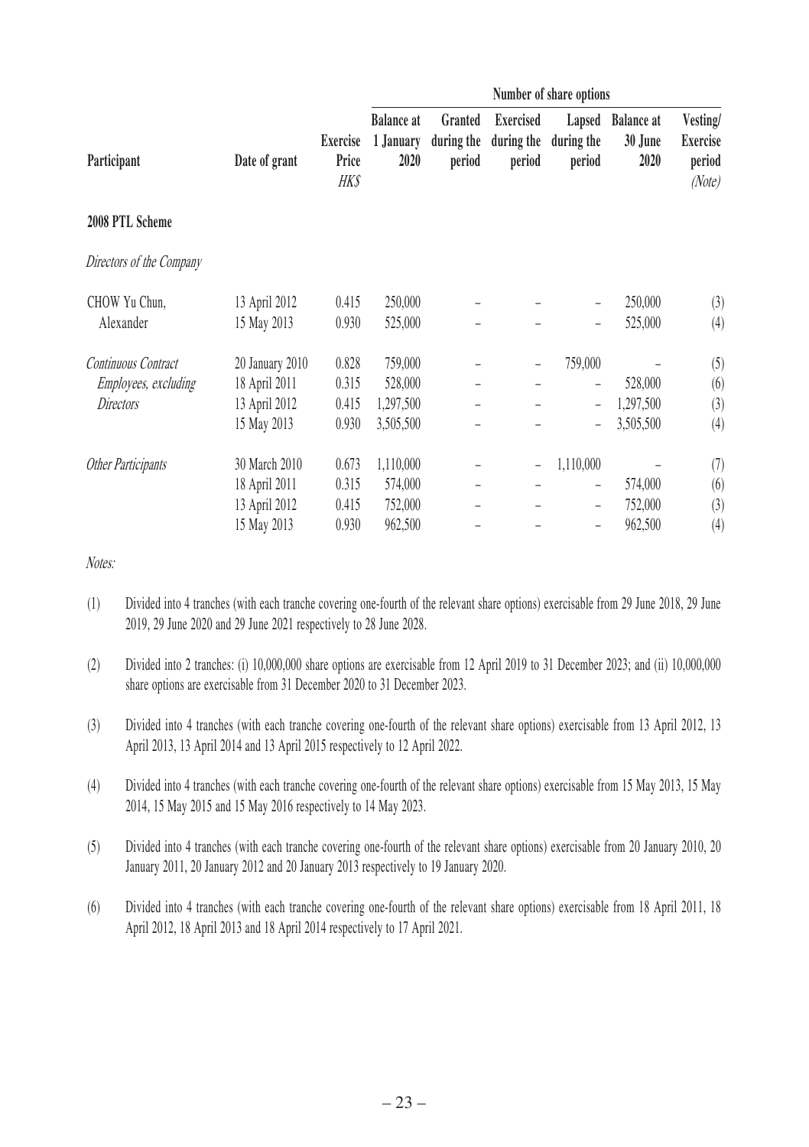|                             |                 |                           | Number of share options                |                                 |                                          |                                |                                      |                                          |  |
|-----------------------------|-----------------|---------------------------|----------------------------------------|---------------------------------|------------------------------------------|--------------------------------|--------------------------------------|------------------------------------------|--|
| Participant                 | Date of grant   | Exercise<br>Price<br>HK\$ | <b>Balance at</b><br>1 January<br>2020 | Granted<br>during the<br>period | <b>Exercised</b><br>during the<br>period | Lapsed<br>during the<br>period | <b>Balance at</b><br>30 June<br>2020 | Vesting/<br>Exercise<br>period<br>(Note) |  |
| 2008 PTL Scheme             |                 |                           |                                        |                                 |                                          |                                |                                      |                                          |  |
| Directors of the Company    |                 |                           |                                        |                                 |                                          |                                |                                      |                                          |  |
| CHOW Yu Chun,               | 13 April 2012   | 0.415                     | 250,000                                |                                 |                                          | $\qquad \qquad -$              | 250,000                              | (3)                                      |  |
| Alexander                   | 15 May 2013     | 0.930                     | 525,000                                |                                 |                                          |                                | 525,000                              | (4)                                      |  |
| Continuous Contract         | 20 January 2010 | 0.828                     | 759,000                                |                                 |                                          | 759,000                        |                                      | (5)                                      |  |
| <i>Employees, excluding</i> | 18 April 2011   | 0.315                     | 528,000                                |                                 |                                          |                                | 528,000                              | (6)                                      |  |
| Directors                   | 13 April 2012   | 0.415                     | 1,297,500                              |                                 |                                          | $\qquad \qquad -$              | 1,297,500                            | (3)                                      |  |
|                             | 15 May 2013     | 0.930                     | 3,505,500                              |                                 |                                          |                                | 3,505,500                            | (4)                                      |  |
| Other Participants          | 30 March 2010   | 0.673                     | 1,110,000                              |                                 | $\overline{\phantom{a}}$                 | 1,110,000                      |                                      | (7)                                      |  |
|                             | 18 April 2011   | 0.315                     | 574,000                                |                                 |                                          |                                | 574,000                              | (6)                                      |  |
|                             | 13 April 2012   | 0.415                     | 752,000                                |                                 |                                          | $\qquad \qquad -$              | 752,000                              | (3)                                      |  |
|                             | 15 May 2013     | 0.930                     | 962,500                                |                                 |                                          |                                | 962,500                              | (4)                                      |  |

Notes:

- (1) Divided into 4 tranches (with each tranche covering one-fourth of the relevant share options) exercisable from 29 June 2018, 29 June 2019, 29 June 2020 and 29 June 2021 respectively to 28 June 2028.
- (2) Divided into 2 tranches: (i) 10,000,000 share options are exercisable from 12 April 2019 to 31 December 2023; and (ii) 10,000,000 share options are exercisable from 31 December 2020 to 31 December 2023.
- (3) Divided into 4 tranches (with each tranche covering one-fourth of the relevant share options) exercisable from 13 April 2012, 13 April 2013, 13 April 2014 and 13 April 2015 respectively to 12 April 2022.
- (4) Divided into 4 tranches (with each tranche covering one-fourth of the relevant share options) exercisable from 15 May 2013, 15 May 2014, 15 May 2015 and 15 May 2016 respectively to 14 May 2023.
- (5) Divided into 4 tranches (with each tranche covering one-fourth of the relevant share options) exercisable from 20 January 2010, 20 January 2011, 20 January 2012 and 20 January 2013 respectively to 19 January 2020.
- (6) Divided into 4 tranches (with each tranche covering one-fourth of the relevant share options) exercisable from 18 April 2011, 18 April 2012, 18 April 2013 and 18 April 2014 respectively to 17 April 2021.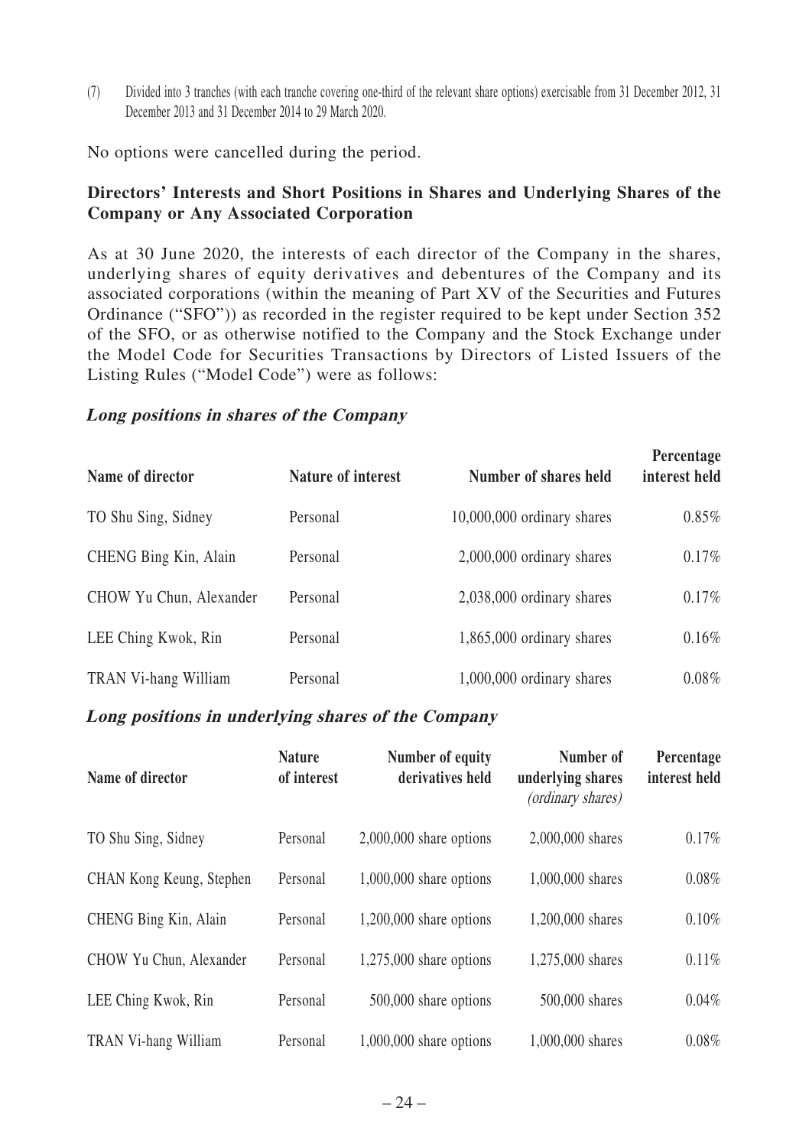(7) Divided into 3 tranches (with each tranche covering one-third of the relevant share options) exercisable from 31 December 2012, 31 December 2013 and 31 December 2014 to 29 March 2020.

No options were cancelled during the period.

# **Directors' Interests and Short Positions in Shares and Underlying Shares of the Company or Any Associated Corporation**

As at 30 June 2020, the interests of each director of the Company in the shares, underlying shares of equity derivatives and debentures of the Company and its associated corporations (within the meaning of Part XV of the Securities and Futures Ordinance ("SFO")) as recorded in the register required to be kept under Section 352 of the SFO, or as otherwise notified to the Company and the Stock Exchange under the Model Code for Securities Transactions by Directors of Listed Issuers of the Listing Rules ("Model Code") were as follows:

#### **Long positions in shares of the Company**

| Name of director        | Nature of interest | Number of shares held       | Percentage<br>interest held |
|-------------------------|--------------------|-----------------------------|-----------------------------|
| TO Shu Sing, Sidney     | Personal           | 10,000,000 ordinary shares  | $0.85\%$                    |
| CHENG Bing Kin, Alain   | Personal           | 2,000,000 ordinary shares   | 0.17%                       |
| CHOW Yu Chun, Alexander | Personal           | 2,038,000 ordinary shares   | 0.17%                       |
| LEE Ching Kwok, Rin     | Personal           | $1,865,000$ ordinary shares | $0.16\%$                    |
| TRAN Vi-hang William    | Personal           | 1,000,000 ordinary shares   | $0.08\%$                    |

#### **Long positions in underlying shares of the Company**

| Name of director         | <b>Nature</b><br>of interest | Number of equity<br>derivatives held | Number of<br>underlying shares<br>(ordinary shares) | Percentage<br>interest held |
|--------------------------|------------------------------|--------------------------------------|-----------------------------------------------------|-----------------------------|
| TO Shu Sing, Sidney      | Personal                     | $2,000,000$ share options            | 2,000,000 shares                                    | 0.17%                       |
| CHAN Kong Keung, Stephen | Personal                     | $1,000,000$ share options            | 1,000,000 shares                                    | $0.08\%$                    |
| CHENG Bing Kin, Alain    | Personal                     | $1,200,000$ share options            | 1,200,000 shares                                    | 0.10%                       |
| CHOW Yu Chun, Alexander  | Personal                     | $1,275,000$ share options            | 1,275,000 shares                                    | 0.11%                       |
| LEE Ching Kwok, Rin      | Personal                     | 500,000 share options                | 500,000 shares                                      | $0.04\%$                    |
| TRAN Vi-hang William     | Personal                     | $1,000,000$ share options            | 1,000,000 shares                                    | $0.08\%$                    |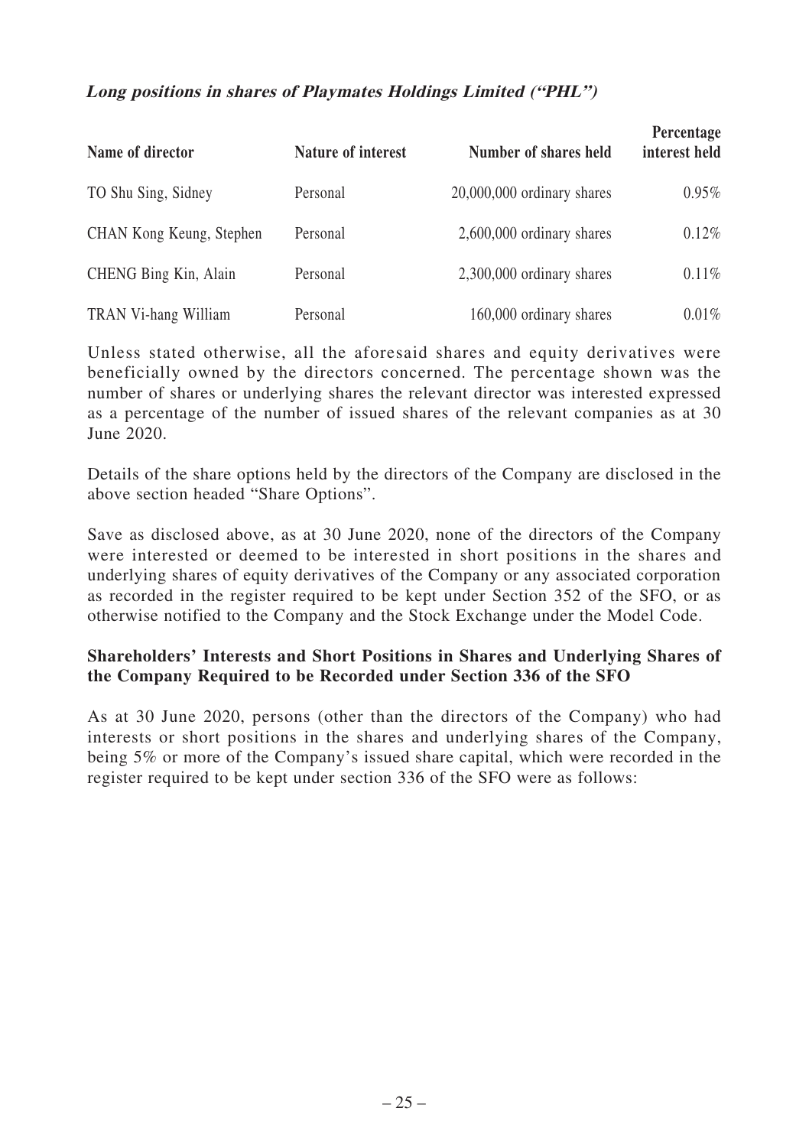## **Long positions in shares of Playmates Holdings Limited ("PHL")**

| Name of director         | Nature of interest | Number of shares held        | Percentage<br>interest held |
|--------------------------|--------------------|------------------------------|-----------------------------|
| TO Shu Sing, Sidney      | Personal           | $20,000,000$ ordinary shares | 0.95%                       |
| CHAN Kong Keung, Stephen | Personal           | 2,600,000 ordinary shares    | 0.12%                       |
| CHENG Bing Kin, Alain    | Personal           | 2,300,000 ordinary shares    | 0.11%                       |
| TRAN Vi-hang William     | Personal           | 160,000 ordinary shares      | $0.01\%$                    |

Unless stated otherwise, all the aforesaid shares and equity derivatives were beneficially owned by the directors concerned. The percentage shown was the number of shares or underlying shares the relevant director was interested expressed as a percentage of the number of issued shares of the relevant companies as at 30 June 2020.

Details of the share options held by the directors of the Company are disclosed in the above section headed "Share Options".

Save as disclosed above, as at 30 June 2020, none of the directors of the Company were interested or deemed to be interested in short positions in the shares and underlying shares of equity derivatives of the Company or any associated corporation as recorded in the register required to be kept under Section 352 of the SFO, or as otherwise notified to the Company and the Stock Exchange under the Model Code.

# **Shareholders' Interests and Short Positions in Shares and Underlying Shares of the Company Required to be Recorded under Section 336 of the SFO**

As at 30 June 2020, persons (other than the directors of the Company) who had interests or short positions in the shares and underlying shares of the Company, being 5% or more of the Company's issued share capital, which were recorded in the register required to be kept under section 336 of the SFO were as follows: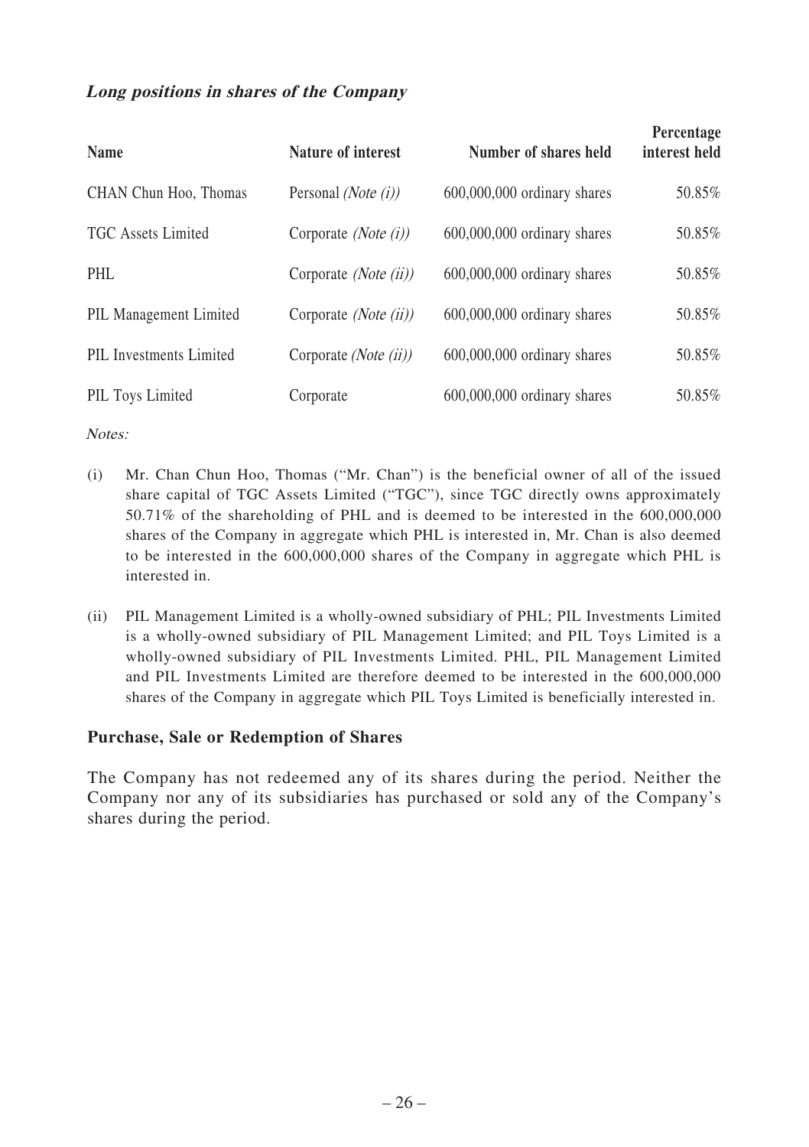# **Long positions in shares of the Company**

| <b>Name</b>             | Nature of interest               | Number of shares held         | Percentage<br>interest held |
|-------------------------|----------------------------------|-------------------------------|-----------------------------|
| CHAN Chun Hoo, Thomas   | Personal ( <i>Note</i> $(i)$ )   | $600,000,000$ ordinary shares | 50.85%                      |
| TGC Assets Limited      | Corporate ( <i>Note</i> $(i)$ )  | $600,000,000$ ordinary shares | 50.85%                      |
| PHL                     | Corporate <i>(Note (ii))</i>     | $600,000,000$ ordinary shares | 50.85%                      |
| PIL Management Limited  | Corporate ( <i>Note</i> $(ii)$ ) | $600,000,000$ ordinary shares | 50.85%                      |
| PIL Investments Limited | Corporate ( <i>Note</i> $(ii)$ ) | $600,000,000$ ordinary shares | 50.85%                      |
| PIL Toys Limited        | Corporate                        | $600,000,000$ ordinary shares | 50.85%                      |

Notes:

- (i) Mr. Chan Chun Hoo, Thomas ("Mr. Chan") is the beneficial owner of all of the issued share capital of TGC Assets Limited ("TGC"), since TGC directly owns approximately 50.71% of the shareholding of PHL and is deemed to be interested in the 600,000,000 shares of the Company in aggregate which PHL is interested in, Mr. Chan is also deemed to be interested in the 600,000,000 shares of the Company in aggregate which PHL is interested in.
- (ii) PIL Management Limited is a wholly-owned subsidiary of PHL; PIL Investments Limited is a wholly-owned subsidiary of PIL Management Limited; and PIL Toys Limited is a wholly-owned subsidiary of PIL Investments Limited. PHL, PIL Management Limited and PIL Investments Limited are therefore deemed to be interested in the 600,000,000 shares of the Company in aggregate which PIL Toys Limited is beneficially interested in.

# **Purchase, Sale or Redemption of Shares**

The Company has not redeemed any of its shares during the period. Neither the Company nor any of its subsidiaries has purchased or sold any of the Company's shares during the period.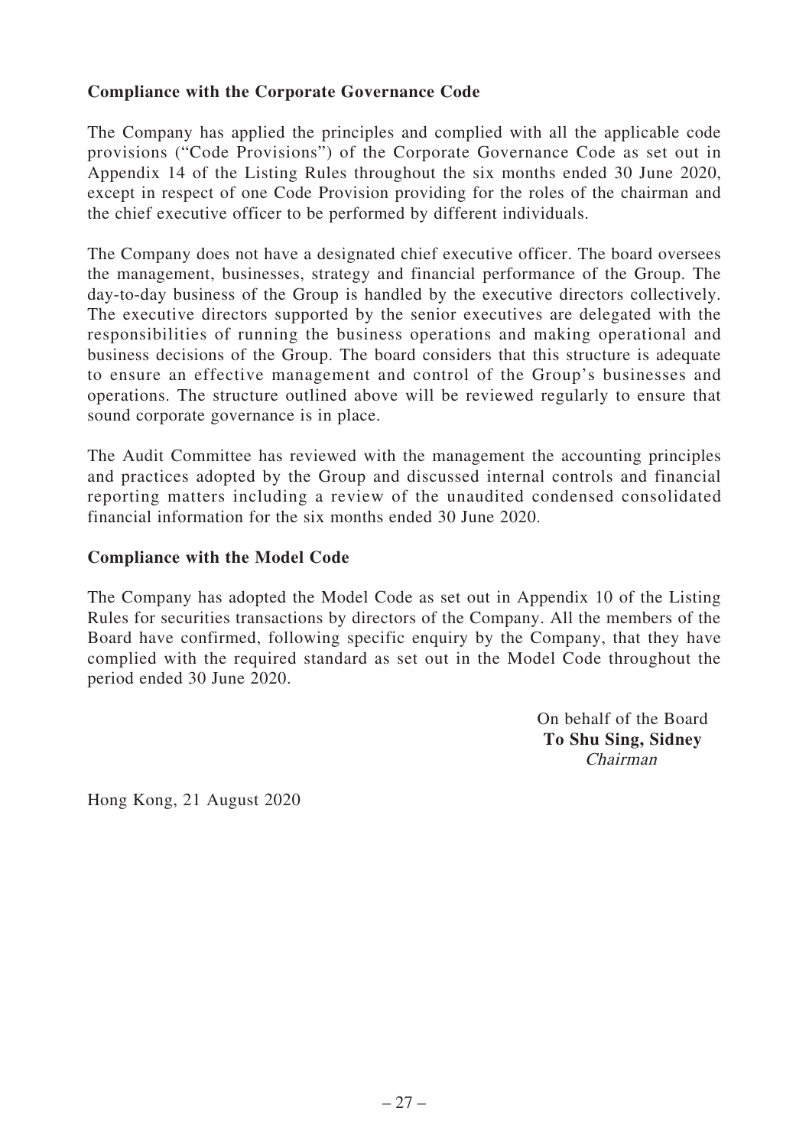# **Compliance with the Corporate Governance Code**

The Company has applied the principles and complied with all the applicable code provisions ("Code Provisions") of the Corporate Governance Code as set out in Appendix 14 of the Listing Rules throughout the six months ended 30 June 2020, except in respect of one Code Provision providing for the roles of the chairman and the chief executive officer to be performed by different individuals.

The Company does not have a designated chief executive officer. The board oversees the management, businesses, strategy and financial performance of the Group. The day-to-day business of the Group is handled by the executive directors collectively. The executive directors supported by the senior executives are delegated with the responsibilities of running the business operations and making operational and business decisions of the Group. The board considers that this structure is adequate to ensure an effective management and control of the Group's businesses and operations. The structure outlined above will be reviewed regularly to ensure that sound corporate governance is in place.

The Audit Committee has reviewed with the management the accounting principles and practices adopted by the Group and discussed internal controls and financial reporting matters including a review of the unaudited condensed consolidated financial information for the six months ended 30 June 2020.

#### **Compliance with the Model Code**

The Company has adopted the Model Code as set out in Appendix 10 of the Listing Rules for securities transactions by directors of the Company. All the members of the Board have confirmed, following specific enquiry by the Company, that they have complied with the required standard as set out in the Model Code throughout the period ended 30 June 2020.

> On behalf of the Board **To Shu Sing, Sidney** Chairman

Hong Kong, 21 August 2020